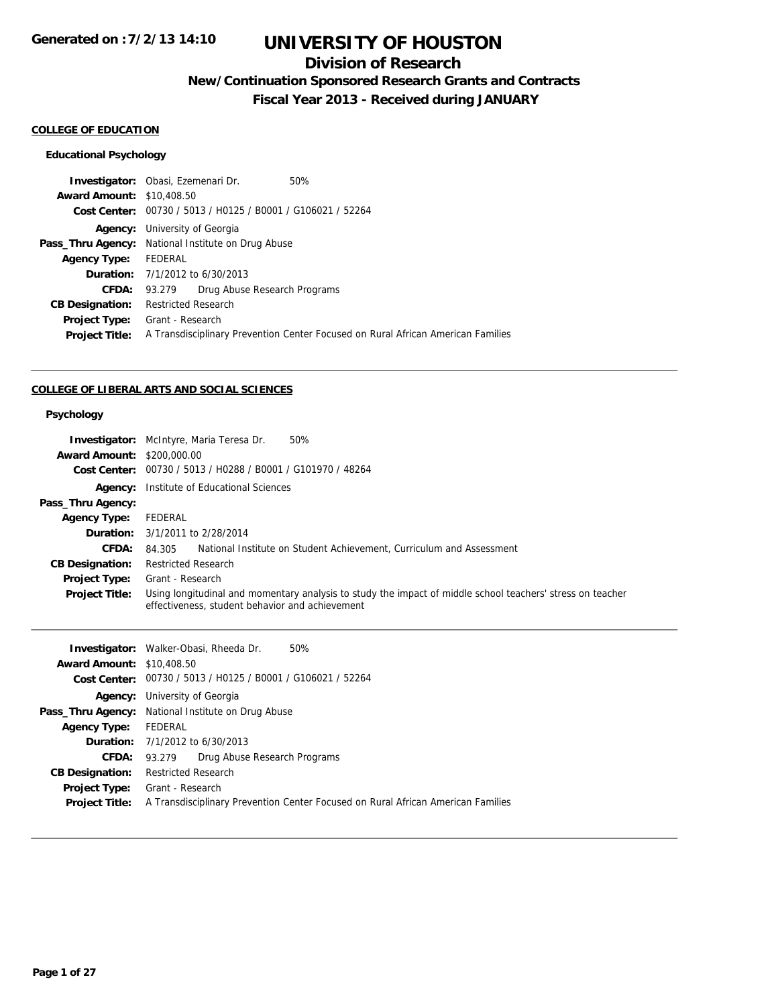# **Division of Research**

**New/Continuation Sponsored Research Grants and Contracts**

**Fiscal Year 2013 - Received during JANUARY**

#### **COLLEGE OF EDUCATION**

## **Educational Psychology**

| <b>Investigator:</b> Obasi, Ezemenari Dr. |                                                                                  |                                                             | 50% |  |
|-------------------------------------------|----------------------------------------------------------------------------------|-------------------------------------------------------------|-----|--|
| <b>Award Amount: \$10,408.50</b>          |                                                                                  |                                                             |     |  |
|                                           |                                                                                  | Cost Center: 00730 / 5013 / H0125 / B0001 / G106021 / 52264 |     |  |
| Agency:                                   | University of Georgia                                                            |                                                             |     |  |
|                                           | <b>Pass_Thru Agency:</b> National Institute on Drug Abuse                        |                                                             |     |  |
| <b>Agency Type:</b>                       | FEDERAL                                                                          |                                                             |     |  |
|                                           | <b>Duration:</b> 7/1/2012 to 6/30/2013                                           |                                                             |     |  |
| CFDA:                                     | 93.279                                                                           | Drug Abuse Research Programs                                |     |  |
| <b>CB Designation:</b>                    | <b>Restricted Research</b>                                                       |                                                             |     |  |
| <b>Project Type:</b>                      | Grant - Research                                                                 |                                                             |     |  |
| <b>Project Title:</b>                     | A Transdisciplinary Prevention Center Focused on Rural African American Families |                                                             |     |  |
|                                           |                                                                                  |                                                             |     |  |

#### **COLLEGE OF LIBERAL ARTS AND SOCIAL SCIENCES**

#### **Psychology**

| <b>Award Amount: \$200,000.00</b><br>Cost Center: | 50%<br><b>Investigator:</b> McIntyre, Maria Teresa Dr.<br>00730 / 5013 / H0288 / B0001 / G101970 / 48264                                                      |  |  |  |
|---------------------------------------------------|---------------------------------------------------------------------------------------------------------------------------------------------------------------|--|--|--|
|                                                   | <b>Agency:</b> Institute of Educational Sciences                                                                                                              |  |  |  |
| Pass_Thru Agency:                                 |                                                                                                                                                               |  |  |  |
| <b>Agency Type:</b>                               | FEDERAL                                                                                                                                                       |  |  |  |
| Duration:                                         | 3/1/2011 to 2/28/2014                                                                                                                                         |  |  |  |
| CFDA:                                             | National Institute on Student Achievement, Curriculum and Assessment<br>84.305                                                                                |  |  |  |
| <b>CB Designation:</b>                            | <b>Restricted Research</b>                                                                                                                                    |  |  |  |
| Project Type:                                     | Grant - Research                                                                                                                                              |  |  |  |
| <b>Project Title:</b>                             | Using longitudinal and momentary analysis to study the impact of middle school teachers' stress on teacher<br>effectiveness, student behavior and achievement |  |  |  |
|                                                   |                                                                                                                                                               |  |  |  |
|                                                   | 50%<br><b>Investigator:</b> Walker-Obasi, Rheeda Dr.                                                                                                          |  |  |  |
| <b>Award Amount: \$10,408.50</b>                  |                                                                                                                                                               |  |  |  |
|                                                   | Cost Center: 00730 / 5013 / H0125 / B0001 / G106021 / 52264                                                                                                   |  |  |  |
|                                                   | Agency: University of Georgia                                                                                                                                 |  |  |  |
|                                                   | Pass_Thru Agency: National Institute on Drug Abuse                                                                                                            |  |  |  |
| <b>Agency Type:</b>                               | FEDERAL                                                                                                                                                       |  |  |  |
|                                                   | <b>Duration:</b> 7/1/2012 to 6/30/2013                                                                                                                        |  |  |  |
| <b>CFDA:</b>                                      | Drug Abuse Research Programs<br>93.279                                                                                                                        |  |  |  |

**Project Type:** Grant - Research

**Project Title:** A Transdisciplinary Prevention Center Focused on Rural African American Families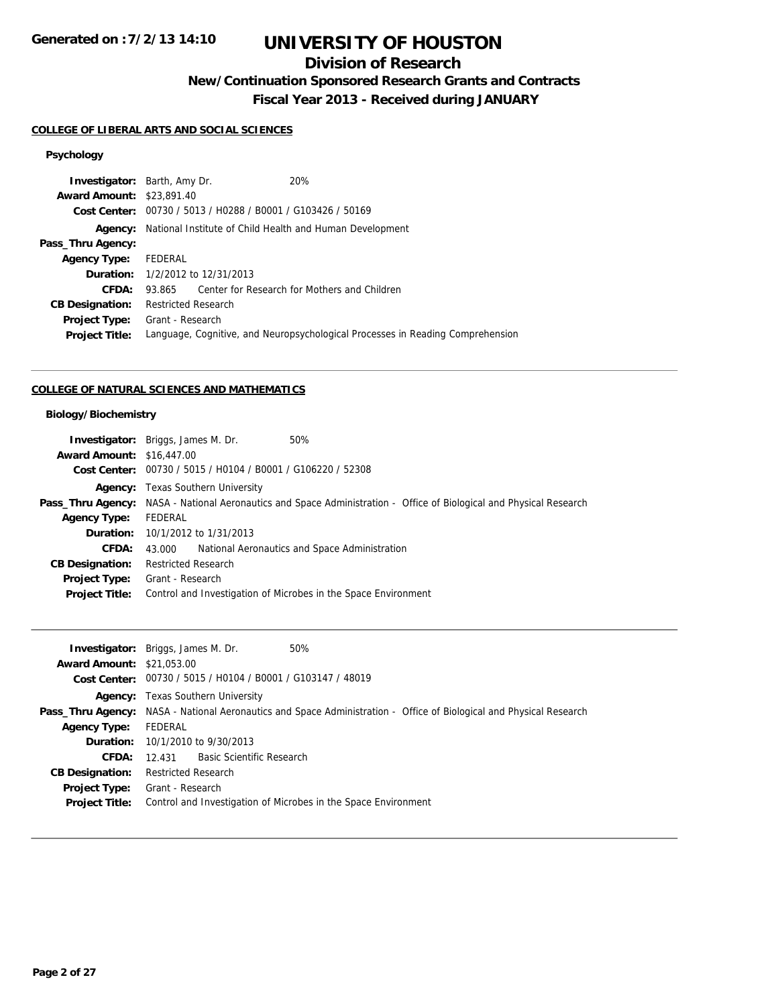# **Division of Research**

**New/Continuation Sponsored Research Grants and Contracts**

**Fiscal Year 2013 - Received during JANUARY**

## **COLLEGE OF LIBERAL ARTS AND SOCIAL SCIENCES**

## **Psychology**

| <b>Investigator:</b> Barth, Amy Dr. |                                                          |                                                             | 20%                                                                            |
|-------------------------------------|----------------------------------------------------------|-------------------------------------------------------------|--------------------------------------------------------------------------------|
| <b>Award Amount: \$23,891.40</b>    |                                                          |                                                             |                                                                                |
|                                     |                                                          | Cost Center: 00730 / 5013 / H0288 / B0001 / G103426 / 50169 |                                                                                |
| Agency:                             | National Institute of Child Health and Human Development |                                                             |                                                                                |
| Pass_Thru Agency:                   |                                                          |                                                             |                                                                                |
| <b>Agency Type:</b>                 | FEDERAL                                                  |                                                             |                                                                                |
|                                     | <b>Duration:</b> $1/2/2012$ to $12/31/2013$              |                                                             |                                                                                |
| CFDA:                               | 93.865                                                   |                                                             | Center for Research for Mothers and Children                                   |
| <b>CB Designation:</b>              | <b>Restricted Research</b>                               |                                                             |                                                                                |
| <b>Project Type:</b>                | Grant - Research                                         |                                                             |                                                                                |
| <b>Project Title:</b>               |                                                          |                                                             | Language, Cognitive, and Neuropsychological Processes in Reading Comprehension |
|                                     |                                                          |                                                             |                                                                                |

## **COLLEGE OF NATURAL SCIENCES AND MATHEMATICS**

## **Biology/Biochemistry**

|                                  | <b>Investigator:</b> Briggs, James M. Dr.<br>50%                                                                    |
|----------------------------------|---------------------------------------------------------------------------------------------------------------------|
| <b>Award Amount: \$16,447,00</b> |                                                                                                                     |
|                                  | Cost Center: 00730 / 5015 / H0104 / B0001 / G106220 / 52308                                                         |
|                                  | <b>Agency:</b> Texas Southern University                                                                            |
|                                  | Pass_Thru Agency: NASA - National Aeronautics and Space Administration - Office of Biological and Physical Research |
| <b>Agency Type:</b>              | FEDERAL                                                                                                             |
|                                  | <b>Duration:</b> 10/1/2012 to 1/31/2013                                                                             |
| CFDA:                            | National Aeronautics and Space Administration<br>43.000                                                             |
| <b>CB Designation:</b>           | Restricted Research                                                                                                 |
| Project Type:                    | Grant - Research                                                                                                    |
| <b>Project Title:</b>            | Control and Investigation of Microbes in the Space Environment                                                      |
|                                  |                                                                                                                     |

|                                  | 50%<br><b>Investigator:</b> Briggs, James M. Dr.                                                                    |
|----------------------------------|---------------------------------------------------------------------------------------------------------------------|
| <b>Award Amount: \$21,053,00</b> |                                                                                                                     |
|                                  | Cost Center: 00730 / 5015 / H0104 / B0001 / G103147 / 48019                                                         |
|                                  | <b>Agency:</b> Texas Southern University                                                                            |
|                                  | Pass_Thru Agency: NASA - National Aeronautics and Space Administration - Office of Biological and Physical Research |
| <b>Agency Type:</b>              | FEDERAL                                                                                                             |
|                                  | <b>Duration:</b> 10/1/2010 to 9/30/2013                                                                             |
| <b>CFDA:</b>                     | 12.431 Basic Scientific Research                                                                                    |
| <b>CB Designation:</b>           | <b>Restricted Research</b>                                                                                          |
| <b>Project Type:</b>             | Grant - Research                                                                                                    |
| <b>Project Title:</b>            | Control and Investigation of Microbes in the Space Environment                                                      |
|                                  |                                                                                                                     |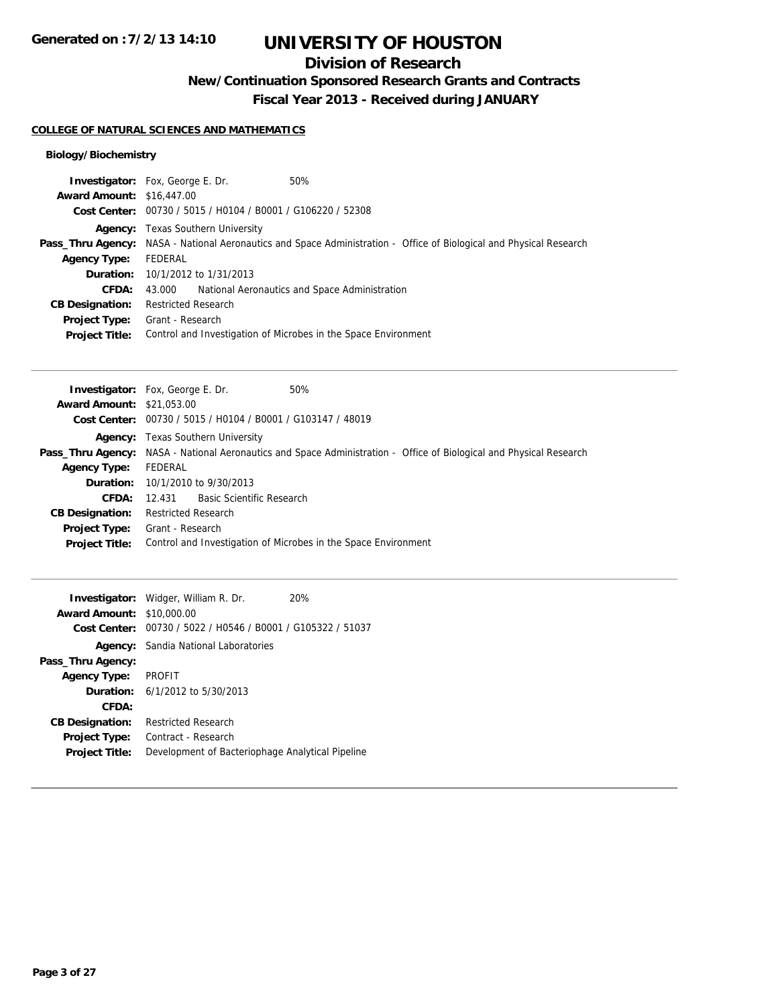# **Division of Research**

**New/Continuation Sponsored Research Grants and Contracts**

**Fiscal Year 2013 - Received during JANUARY**

### **COLLEGE OF NATURAL SCIENCES AND MATHEMATICS**

## **Biology/Biochemistry**

|                                  | 50%<br><b>Investigator:</b> Fox, George E. Dr.                                                                      |  |
|----------------------------------|---------------------------------------------------------------------------------------------------------------------|--|
| <b>Award Amount: \$16,447.00</b> |                                                                                                                     |  |
|                                  | Cost Center: 00730 / 5015 / H0104 / B0001 / G106220 / 52308                                                         |  |
|                                  | <b>Agency:</b> Texas Southern University                                                                            |  |
|                                  | Pass_Thru Agency: NASA - National Aeronautics and Space Administration - Office of Biological and Physical Research |  |
| <b>Agency Type:</b>              | FEDERAL                                                                                                             |  |
|                                  | <b>Duration:</b> 10/1/2012 to 1/31/2013                                                                             |  |
| CFDA:                            | National Aeronautics and Space Administration<br>43.000                                                             |  |
| <b>CB Designation:</b>           | <b>Restricted Research</b>                                                                                          |  |
| <b>Project Type:</b>             | Grant - Research                                                                                                    |  |
| <b>Project Title:</b>            | Control and Investigation of Microbes in the Space Environment                                                      |  |

|                                  | <b>Investigator:</b> Fox, George E. Dr.<br>50%                 |                                                                                                                     |
|----------------------------------|----------------------------------------------------------------|---------------------------------------------------------------------------------------------------------------------|
| <b>Award Amount: \$21,053,00</b> |                                                                |                                                                                                                     |
|                                  | Cost Center: 00730 / 5015 / H0104 / B0001 / G103147 / 48019    |                                                                                                                     |
|                                  | <b>Agency:</b> Texas Southern University                       |                                                                                                                     |
|                                  |                                                                | Pass_Thru Agency: NASA - National Aeronautics and Space Administration - Office of Biological and Physical Research |
| <b>Agency Type:</b>              | FEDERAL                                                        |                                                                                                                     |
|                                  | <b>Duration:</b> 10/1/2010 to 9/30/2013                        |                                                                                                                     |
| <b>CFDA:</b>                     | 12.431 Basic Scientific Research                               |                                                                                                                     |
| <b>CB Designation:</b>           | <b>Restricted Research</b>                                     |                                                                                                                     |
| Project Type:                    | Grant - Research                                               |                                                                                                                     |
| <b>Project Title:</b>            | Control and Investigation of Microbes in the Space Environment |                                                                                                                     |
|                                  |                                                                |                                                                                                                     |

|                                  | <b>Investigator:</b> Widger, William R. Dr.                 | 20% |
|----------------------------------|-------------------------------------------------------------|-----|
| <b>Award Amount: \$10,000.00</b> |                                                             |     |
|                                  | Cost Center: 00730 / 5022 / H0546 / B0001 / G105322 / 51037 |     |
|                                  | <b>Agency:</b> Sandia National Laboratories                 |     |
| Pass_Thru Agency:                |                                                             |     |
| <b>Agency Type:</b>              | <b>PROFIT</b>                                               |     |
|                                  | <b>Duration:</b> $6/1/2012$ to $5/30/2013$                  |     |
| CFDA:                            |                                                             |     |
| <b>CB Designation:</b>           | <b>Restricted Research</b>                                  |     |
| <b>Project Type:</b>             | Contract - Research                                         |     |
| <b>Project Title:</b>            | Development of Bacteriophage Analytical Pipeline            |     |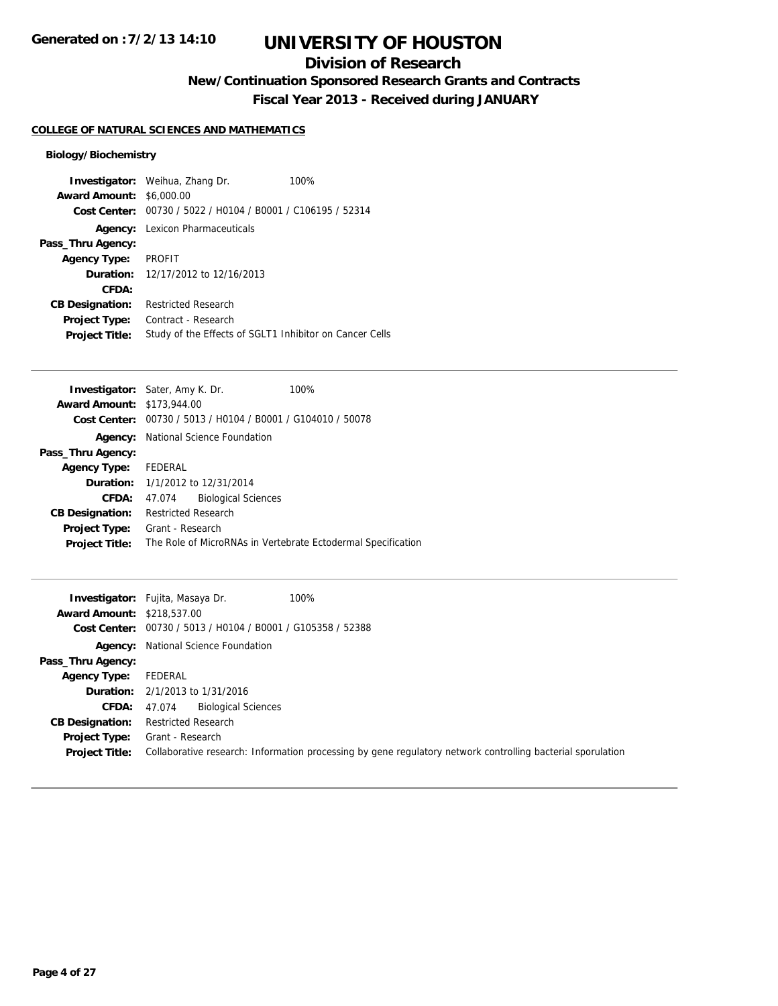# **Division of Research**

**New/Continuation Sponsored Research Grants and Contracts**

**Fiscal Year 2013 - Received during JANUARY**

## **COLLEGE OF NATURAL SCIENCES AND MATHEMATICS**

## **Biology/Biochemistry**

|                        | <b>Investigator:</b> Weihua, Zhang Dr.                      | 100% |
|------------------------|-------------------------------------------------------------|------|
| <b>Award Amount:</b>   | \$6,000.00                                                  |      |
|                        | Cost Center: 00730 / 5022 / H0104 / B0001 / C106195 / 52314 |      |
|                        | <b>Agency:</b> Lexicon Pharmaceuticals                      |      |
| Pass_Thru Agency:      |                                                             |      |
| <b>Agency Type:</b>    | <b>PROFIT</b>                                               |      |
|                        | <b>Duration:</b> 12/17/2012 to 12/16/2013                   |      |
| CFDA:                  |                                                             |      |
| <b>CB Designation:</b> | <b>Restricted Research</b>                                  |      |
| <b>Project Type:</b>   | Contract - Research                                         |      |
| <b>Project Title:</b>  | Study of the Effects of SGLT1 Inhibitor on Cancer Cells     |      |

|                                   | <b>Investigator:</b> Sater, Amy K. Dr.                      | 100%                                                         |  |
|-----------------------------------|-------------------------------------------------------------|--------------------------------------------------------------|--|
| <b>Award Amount: \$173,944.00</b> |                                                             |                                                              |  |
|                                   | Cost Center: 00730 / 5013 / H0104 / B0001 / G104010 / 50078 |                                                              |  |
|                                   | <b>Agency:</b> National Science Foundation                  |                                                              |  |
| Pass_Thru Agency:                 |                                                             |                                                              |  |
| <b>Agency Type:</b> FEDERAL       |                                                             |                                                              |  |
|                                   | <b>Duration:</b> 1/1/2012 to 12/31/2014                     |                                                              |  |
| CFDA:                             | <b>Biological Sciences</b><br>47.074                        |                                                              |  |
| <b>CB Designation:</b>            | <b>Restricted Research</b>                                  |                                                              |  |
| <b>Project Type:</b>              | Grant - Research                                            |                                                              |  |
| <b>Project Title:</b>             |                                                             | The Role of MicroRNAs in Vertebrate Ectodermal Specification |  |
|                                   |                                                             |                                                              |  |

|                                   | 100%<br><b>Investigator:</b> Fujita, Masaya Dr.                                                             |
|-----------------------------------|-------------------------------------------------------------------------------------------------------------|
| <b>Award Amount: \$218,537.00</b> |                                                                                                             |
|                                   | Cost Center: 00730 / 5013 / H0104 / B0001 / G105358 / 52388                                                 |
|                                   | <b>Agency:</b> National Science Foundation                                                                  |
| Pass_Thru Agency:                 |                                                                                                             |
| <b>Agency Type:</b>               | FEDERAL                                                                                                     |
|                                   | <b>Duration:</b> 2/1/2013 to 1/31/2016                                                                      |
| CFDA:                             | <b>Biological Sciences</b><br>47.074                                                                        |
| <b>CB Designation:</b>            | Restricted Research                                                                                         |
| Project Type:                     | Grant - Research                                                                                            |
| <b>Project Title:</b>             | Collaborative research: Information processing by gene regulatory network controlling bacterial sporulation |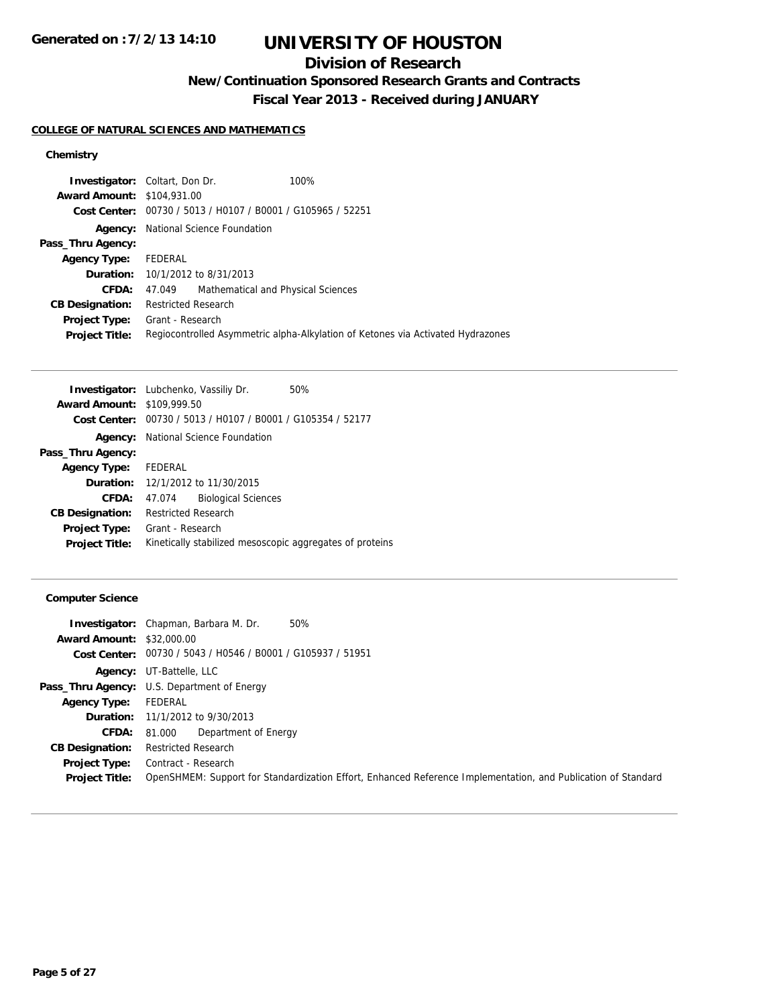# **Division of Research**

**New/Continuation Sponsored Research Grants and Contracts**

**Fiscal Year 2013 - Received during JANUARY**

## **COLLEGE OF NATURAL SCIENCES AND MATHEMATICS**

## **Chemistry**

| <b>Investigator:</b> Coltart, Don Dr. |                                             |                                                             | 100%                                                                            |
|---------------------------------------|---------------------------------------------|-------------------------------------------------------------|---------------------------------------------------------------------------------|
| <b>Award Amount: \$104,931.00</b>     |                                             |                                                             |                                                                                 |
|                                       |                                             | Cost Center: 00730 / 5013 / H0107 / B0001 / G105965 / 52251 |                                                                                 |
| Agency:                               | National Science Foundation                 |                                                             |                                                                                 |
| Pass_Thru Agency:                     |                                             |                                                             |                                                                                 |
| <b>Agency Type:</b>                   | FEDERAL                                     |                                                             |                                                                                 |
|                                       | <b>Duration:</b> $10/1/2012$ to $8/31/2013$ |                                                             |                                                                                 |
| CFDA:                                 | 47.049                                      | Mathematical and Physical Sciences                          |                                                                                 |
| <b>CB Designation:</b>                | <b>Restricted Research</b>                  |                                                             |                                                                                 |
| <b>Project Type:</b>                  | Grant - Research                            |                                                             |                                                                                 |
| <b>Project Title:</b>                 |                                             |                                                             | Regiocontrolled Asymmetric alpha-Alkylation of Ketones via Activated Hydrazones |

|                                   | Investigator: Lubchenko, Vassiliy Dr.<br>50%                |  |
|-----------------------------------|-------------------------------------------------------------|--|
| <b>Award Amount: \$109,999.50</b> |                                                             |  |
|                                   | Cost Center: 00730 / 5013 / H0107 / B0001 / G105354 / 52177 |  |
|                                   | <b>Agency:</b> National Science Foundation                  |  |
| Pass_Thru Agency:                 |                                                             |  |
| <b>Agency Type:</b>               | FEDERAL                                                     |  |
| Duration:                         | 12/1/2012 to 11/30/2015                                     |  |
| CFDA:                             | <b>Biological Sciences</b><br>47.074                        |  |
| <b>CB Designation:</b>            | <b>Restricted Research</b>                                  |  |
| <b>Project Type:</b>              | Grant - Research                                            |  |
| <b>Project Title:</b>             | Kinetically stabilized mesoscopic aggregates of proteins    |  |
|                                   |                                                             |  |

## **Computer Science**

|                                  | 50%<br><b>Investigator:</b> Chapman, Barbara M. Dr.                                                           |
|----------------------------------|---------------------------------------------------------------------------------------------------------------|
| <b>Award Amount: \$32,000.00</b> |                                                                                                               |
|                                  | Cost Center: 00730 / 5043 / H0546 / B0001 / G105937 / 51951                                                   |
|                                  | <b>Agency:</b> UT-Battelle, LLC                                                                               |
|                                  | <b>Pass_Thru Agency:</b> U.S. Department of Energy                                                            |
| <b>Agency Type:</b>              | FEDERAL                                                                                                       |
|                                  | <b>Duration:</b> 11/1/2012 to 9/30/2013                                                                       |
| CFDA:                            | Department of Energy<br>81.000                                                                                |
| <b>CB Designation:</b>           | <b>Restricted Research</b>                                                                                    |
| <b>Project Type:</b>             | Contract - Research                                                                                           |
| <b>Project Title:</b>            | OpenSHMEM: Support for Standardization Effort, Enhanced Reference Implementation, and Publication of Standard |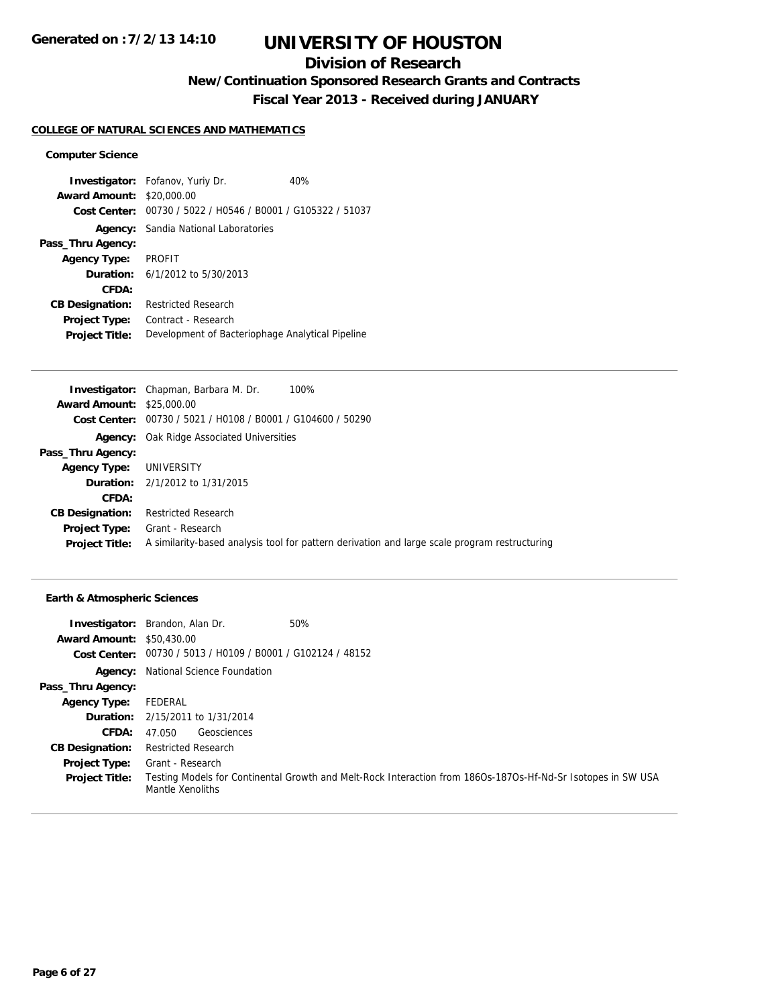# **Division of Research**

**New/Continuation Sponsored Research Grants and Contracts**

**Fiscal Year 2013 - Received during JANUARY**

## **COLLEGE OF NATURAL SCIENCES AND MATHEMATICS**

#### **Computer Science**

**Investigator:** Fofanov, Yuriy Dr. 40% **Award Amount:** \$20,000.00 **Cost Center:** 00730 / 5022 / H0546 / B0001 / G105322 / 51037 **Agency:** Sandia National Laboratories **Pass\_Thru Agency: Agency Type:** PROFIT **Duration:** 6/1/2012 to 5/30/2013 **CFDA: CB Designation:** Restricted Research **Project Type:** Contract - Research **Project Title:** Development of Bacteriophage Analytical Pipeline

|                                  | 100%<br><b>Investigator:</b> Chapman, Barbara M. Dr.                                          |
|----------------------------------|-----------------------------------------------------------------------------------------------|
| <b>Award Amount: \$25,000.00</b> |                                                                                               |
|                                  | <b>Cost Center:</b> $00730 / 5021 / 10108 / 80001 / 6104600 / 50290$                          |
|                                  | <b>Agency:</b> Oak Ridge Associated Universities                                              |
| Pass_Thru Agency:                |                                                                                               |
| <b>Agency Type:</b>              | UNIVERSITY                                                                                    |
|                                  | <b>Duration:</b> 2/1/2012 to 1/31/2015                                                        |
| CFDA:                            |                                                                                               |
| <b>CB Designation:</b>           | <b>Restricted Research</b>                                                                    |
| <b>Project Type:</b>             | Grant - Research                                                                              |
| <b>Project Title:</b>            | A similarity-based analysis tool for pattern derivation and large scale program restructuring |
|                                  |                                                                                               |

#### **Earth & Atmospheric Sciences**

|                                  | 50%<br><b>Investigator:</b> Brandon, Alan Dr.                                                                                    |
|----------------------------------|----------------------------------------------------------------------------------------------------------------------------------|
| <b>Award Amount: \$50,430.00</b> |                                                                                                                                  |
|                                  | Cost Center: 00730 / 5013 / H0109 / B0001 / G102124 / 48152                                                                      |
| Agency:                          | National Science Foundation                                                                                                      |
| Pass_Thru Agency:                |                                                                                                                                  |
| <b>Agency Type:</b>              | FEDERAL                                                                                                                          |
|                                  | <b>Duration:</b> 2/15/2011 to 1/31/2014                                                                                          |
| <b>CFDA:</b>                     | Geosciences<br>47.050                                                                                                            |
| <b>CB Designation:</b>           | <b>Restricted Research</b>                                                                                                       |
| <b>Project Type:</b>             | Grant - Research                                                                                                                 |
| <b>Project Title:</b>            | Testing Models for Continental Growth and Melt-Rock Interaction from 186Os-187Os-Hf-Nd-Sr Isotopes in SW USA<br>Mantle Xenoliths |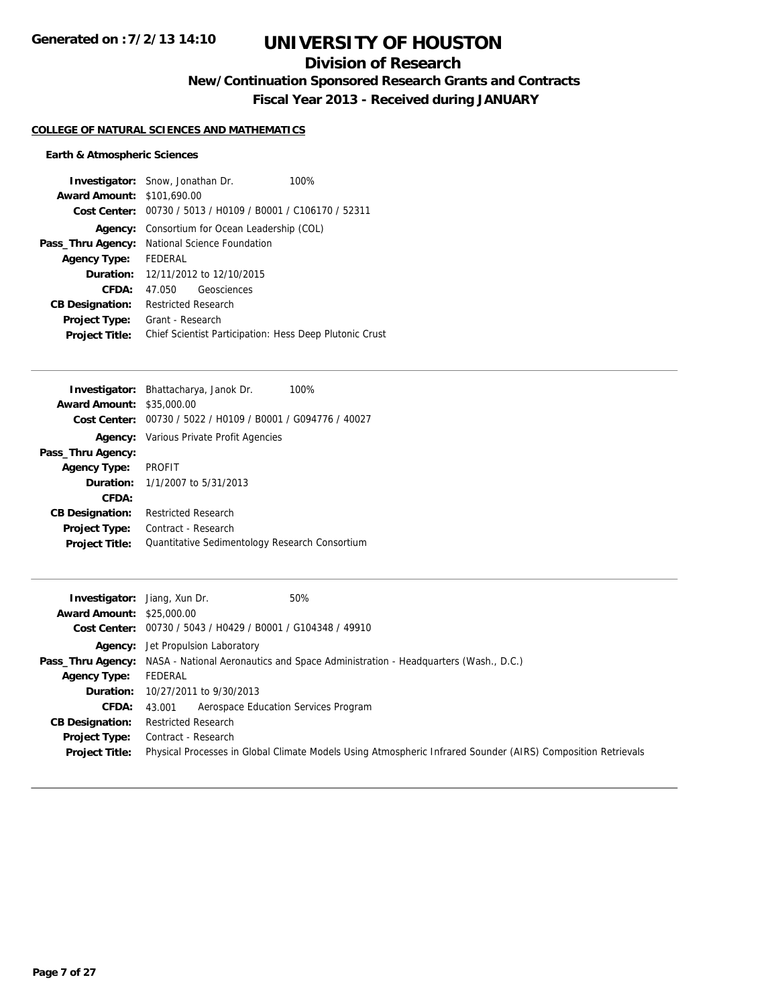# **Division of Research**

**New/Continuation Sponsored Research Grants and Contracts**

**Fiscal Year 2013 - Received during JANUARY**

## **COLLEGE OF NATURAL SCIENCES AND MATHEMATICS**

## **Earth & Atmospheric Sciences**

|                                   | <b>Investigator:</b> Snow, Jonathan Dr.                     | 100% |
|-----------------------------------|-------------------------------------------------------------|------|
| <b>Award Amount: \$101,690.00</b> |                                                             |      |
|                                   | Cost Center: 00730 / 5013 / H0109 / B0001 / C106170 / 52311 |      |
| Agency:                           | Consortium for Ocean Leadership (COL)                       |      |
| Pass_Thru Agency:                 | National Science Foundation                                 |      |
| <b>Agency Type:</b>               | FFDFRAI                                                     |      |
| Duration:                         | 12/11/2012 to 12/10/2015                                    |      |
| CFDA:                             | Geosciences<br>47.050                                       |      |
| <b>CB Designation:</b>            | Restricted Research                                         |      |
| <b>Project Type:</b>              | Grant - Research                                            |      |
| <b>Project Title:</b>             | Chief Scientist Participation: Hess Deep Plutonic Crust     |      |

|                                  | Investigator: Bhattacharya, Janok Dr.<br>100%               |
|----------------------------------|-------------------------------------------------------------|
| <b>Award Amount: \$35,000.00</b> |                                                             |
|                                  | Cost Center: 00730 / 5022 / H0109 / B0001 / G094776 / 40027 |
|                                  | <b>Agency:</b> Various Private Profit Agencies              |
| Pass_Thru Agency:                |                                                             |
| <b>Agency Type:</b>              | <b>PROFIT</b>                                               |
|                                  | <b>Duration:</b> 1/1/2007 to 5/31/2013                      |
| CFDA:                            |                                                             |
| <b>CB Designation:</b>           | <b>Restricted Research</b>                                  |
| <b>Project Type:</b>             | Contract - Research                                         |
| <b>Project Title:</b>            | Quantitative Sedimentology Research Consortium              |

| <b>Investigator:</b> Jiang, Xun Dr. | 50%                                                                                                          |  |  |
|-------------------------------------|--------------------------------------------------------------------------------------------------------------|--|--|
| <b>Award Amount:</b>                | \$25,000.00                                                                                                  |  |  |
|                                     | Cost Center: 00730 / 5043 / H0429 / B0001 / G104348 / 49910                                                  |  |  |
|                                     | <b>Agency:</b> Jet Propulsion Laboratory                                                                     |  |  |
|                                     | <b>Pass_Thru Agency:</b> NASA - National Aeronautics and Space Administration - Headquarters (Wash., D.C.)   |  |  |
| <b>Agency Type:</b>                 | FEDERAL                                                                                                      |  |  |
|                                     | <b>Duration:</b> 10/27/2011 to 9/30/2013                                                                     |  |  |
| <b>CFDA:</b>                        | Aerospace Education Services Program<br>43.001                                                               |  |  |
| <b>CB Designation:</b>              | <b>Restricted Research</b>                                                                                   |  |  |
| Project Type:                       | Contract - Research                                                                                          |  |  |
| <b>Project Title:</b>               | Physical Processes in Global Climate Models Using Atmospheric Infrared Sounder (AIRS) Composition Retrievals |  |  |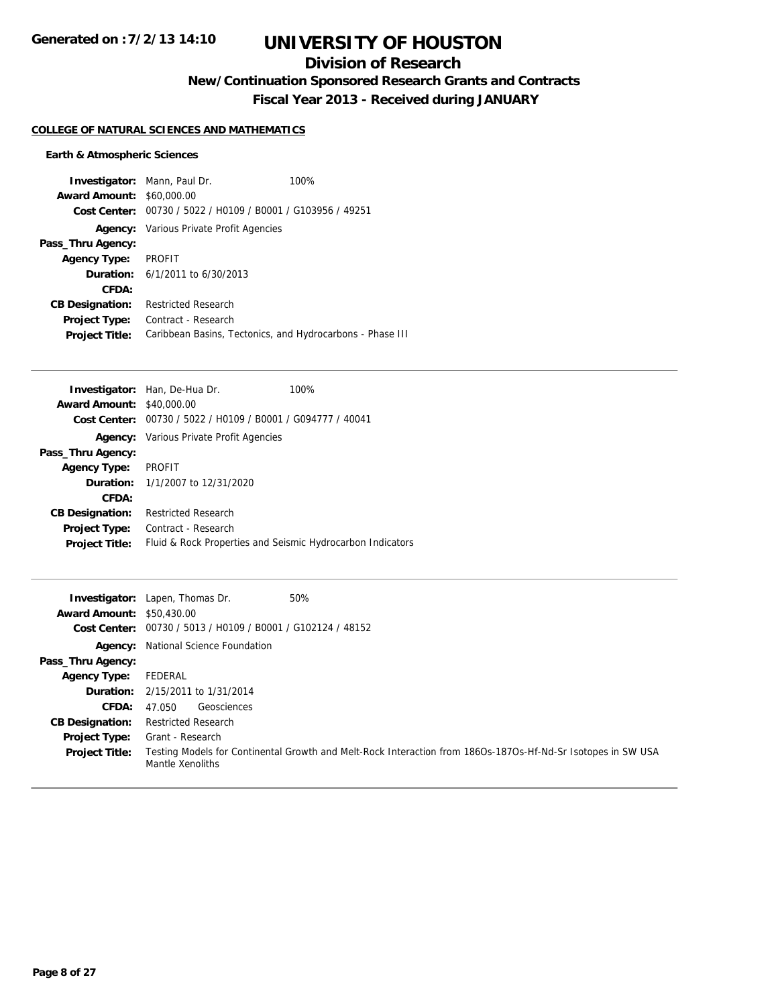# **Division of Research**

**New/Continuation Sponsored Research Grants and Contracts**

**Fiscal Year 2013 - Received during JANUARY**

## **COLLEGE OF NATURAL SCIENCES AND MATHEMATICS**

## **Earth & Atmospheric Sciences**

| <b>Investigator:</b> Mann, Paul Dr. |                                                             | 100% |
|-------------------------------------|-------------------------------------------------------------|------|
| <b>Award Amount: \$60,000.00</b>    |                                                             |      |
|                                     | Cost Center: 00730 / 5022 / H0109 / B0001 / G103956 / 49251 |      |
|                                     | <b>Agency:</b> Various Private Profit Agencies              |      |
| Pass_Thru Agency:                   |                                                             |      |
| <b>Agency Type:</b>                 | PROFIT                                                      |      |
|                                     | <b>Duration:</b> $6/1/2011$ to $6/30/2013$                  |      |
| CFDA:                               |                                                             |      |
| <b>CB Designation:</b>              | <b>Restricted Research</b>                                  |      |
| <b>Project Type:</b>                | Contract - Research                                         |      |
| <b>Project Title:</b>               | Caribbean Basins, Tectonics, and Hydrocarbons - Phase III   |      |

| Investigator: Han, De-Hua Dr.                               | 100% |
|-------------------------------------------------------------|------|
| <b>Award Amount: \$40,000.00</b>                            |      |
| Cost Center: 00730 / 5022 / H0109 / B0001 / G094777 / 40041 |      |
| <b>Agency:</b> Various Private Profit Agencies              |      |
|                                                             |      |
| <b>PROFIT</b>                                               |      |
| <b>Duration:</b> 1/1/2007 to 12/31/2020                     |      |
|                                                             |      |
| <b>Restricted Research</b>                                  |      |
| Contract - Research                                         |      |
| Fluid & Rock Properties and Seismic Hydrocarbon Indicators  |      |
|                                                             |      |

| <b>Award Amount: \$50,430.00</b> | 50%<br><b>Investigator:</b> Lapen, Thomas Dr.                                                                                    |
|----------------------------------|----------------------------------------------------------------------------------------------------------------------------------|
|                                  | Cost Center: 00730 / 5013 / H0109 / B0001 / G102124 / 48152                                                                      |
|                                  | <b>Agency:</b> National Science Foundation                                                                                       |
| Pass_Thru Agency:                |                                                                                                                                  |
| Agency Type:                     | FEDERAL                                                                                                                          |
|                                  | <b>Duration:</b> 2/15/2011 to 1/31/2014                                                                                          |
| <b>CFDA:</b>                     | Geosciences<br>47.050                                                                                                            |
| <b>CB Designation:</b>           | <b>Restricted Research</b>                                                                                                       |
| <b>Project Type:</b>             | Grant - Research                                                                                                                 |
| <b>Project Title:</b>            | Testing Models for Continental Growth and Melt-Rock Interaction from 186Os-187Os-Hf-Nd-Sr Isotopes in SW USA<br>Mantle Xenoliths |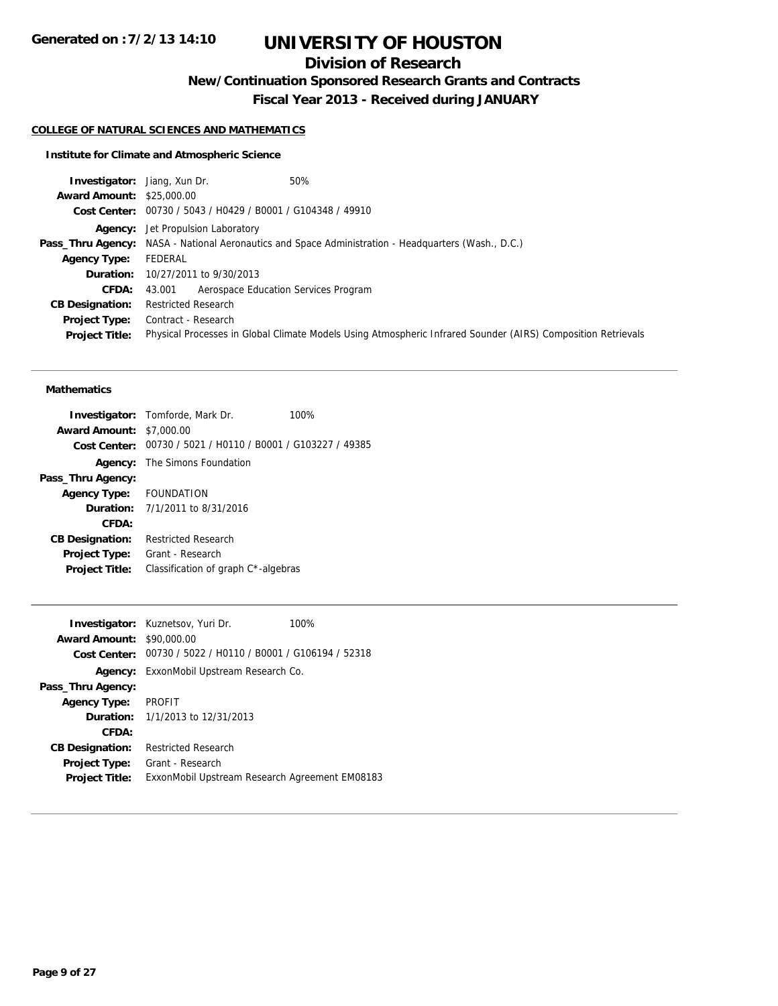# **Division of Research**

**New/Continuation Sponsored Research Grants and Contracts**

**Fiscal Year 2013 - Received during JANUARY**

## **COLLEGE OF NATURAL SCIENCES AND MATHEMATICS**

## **Institute for Climate and Atmospheric Science**

| <b>Investigator:</b> Jiang, Xun Dr. | 50%                                                                                                          |
|-------------------------------------|--------------------------------------------------------------------------------------------------------------|
| <b>Award Amount: \$25,000.00</b>    |                                                                                                              |
|                                     | Cost Center: 00730 / 5043 / H0429 / B0001 / G104348 / 49910                                                  |
|                                     | <b>Agency:</b> Jet Propulsion Laboratory                                                                     |
|                                     | <b>Pass_Thru Agency:</b> NASA - National Aeronautics and Space Administration - Headquarters (Wash., D.C.)   |
| <b>Agency Type:</b>                 | FEDERAL                                                                                                      |
|                                     | <b>Duration:</b> 10/27/2011 to 9/30/2013                                                                     |
| <b>CFDA:</b>                        | Aerospace Education Services Program<br>43.001                                                               |
| <b>CB Designation:</b>              | <b>Restricted Research</b>                                                                                   |
| Project Type:                       | Contract - Research                                                                                          |
| <b>Project Title:</b>               | Physical Processes in Global Climate Models Using Atmospheric Infrared Sounder (AIRS) Composition Retrievals |
|                                     |                                                                                                              |

#### **Mathematics**

|                         | <b>Investigator:</b> Tomforde, Mark Dr.                     | 100% |
|-------------------------|-------------------------------------------------------------|------|
| <b>Award Amount:</b>    | \$7,000.00                                                  |      |
|                         | Cost Center: 00730 / 5021 / H0110 / B0001 / G103227 / 49385 |      |
|                         | <b>Agency:</b> The Simons Foundation                        |      |
| Pass_Thru Agency:       |                                                             |      |
| Agency Type: FOUNDATION |                                                             |      |
|                         | <b>Duration:</b> $7/1/2011$ to $8/31/2016$                  |      |
| CFDA:                   |                                                             |      |
| <b>CB Designation:</b>  | <b>Restricted Research</b>                                  |      |
| <b>Project Type:</b>    | Grant - Research                                            |      |
| <b>Project Title:</b>   | Classification of graph C*-algebras                         |      |
|                         |                                                             |      |

|                        | <b>Investigator:</b> Kuznetsov, Yuri Dr.<br>100%            |
|------------------------|-------------------------------------------------------------|
| <b>Award Amount:</b>   | \$90,000.00                                                 |
|                        | Cost Center: 00730 / 5022 / H0110 / B0001 / G106194 / 52318 |
| Agency:                | ExxonMobil Upstream Research Co.                            |
| Pass_Thru Agency:      |                                                             |
| <b>Agency Type:</b>    | <b>PROFIT</b>                                               |
|                        | <b>Duration:</b> $1/1/2013$ to $12/31/2013$                 |
| CFDA:                  |                                                             |
| <b>CB Designation:</b> | <b>Restricted Research</b>                                  |
| <b>Project Type:</b>   | Grant - Research                                            |
| <b>Project Title:</b>  | ExxonMobil Upstream Research Agreement EM08183              |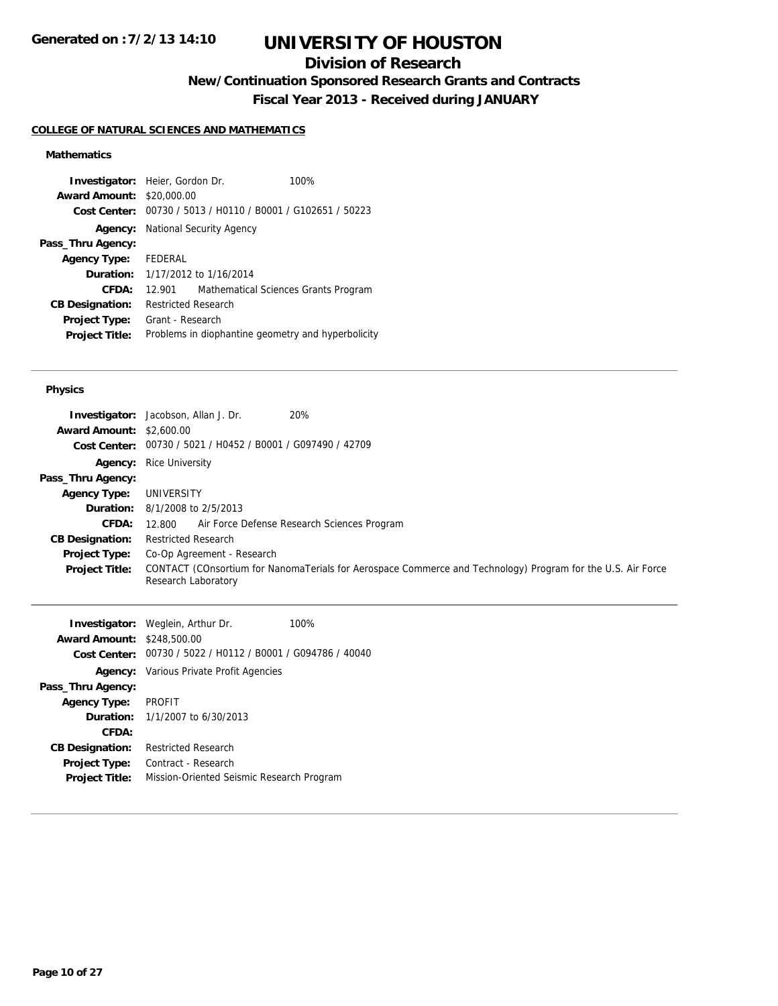# **Division of Research**

**New/Continuation Sponsored Research Grants and Contracts**

**Fiscal Year 2013 - Received during JANUARY**

## **COLLEGE OF NATURAL SCIENCES AND MATHEMATICS**

## **Mathematics**

| <b>Investigator:</b> Heier, Gordon Dr. |                            |                                                | 100%                                               |
|----------------------------------------|----------------------------|------------------------------------------------|----------------------------------------------------|
| <b>Award Amount:</b>                   | \$20,000.00                |                                                |                                                    |
| Cost Center:                           |                            | 00730 / 5013 / H0110 / B0001 / G102651 / 50223 |                                                    |
|                                        |                            | <b>Agency:</b> National Security Agency        |                                                    |
| Pass_Thru Agency:                      |                            |                                                |                                                    |
| <b>Agency Type:</b>                    | FEDERAL                    |                                                |                                                    |
|                                        |                            | <b>Duration:</b> 1/17/2012 to 1/16/2014        |                                                    |
| CFDA:                                  | 12.901                     | Mathematical Sciences Grants Program           |                                                    |
| <b>CB Designation:</b>                 | <b>Restricted Research</b> |                                                |                                                    |
| <b>Project Type:</b>                   | Grant - Research           |                                                |                                                    |
| <b>Project Title:</b>                  |                            |                                                | Problems in diophantine geometry and hyperbolicity |

#### **Physics**

|                                 | 20%<br><b>Investigator:</b> Jacobson, Allan J. Dr.                                                                                 |
|---------------------------------|------------------------------------------------------------------------------------------------------------------------------------|
| <b>Award Amount: \$2,600.00</b> |                                                                                                                                    |
|                                 | Cost Center: 00730 / 5021 / H0452 / B0001 / G097490 / 42709                                                                        |
| Agency:                         | <b>Rice University</b>                                                                                                             |
| Pass_Thru Agency:               |                                                                                                                                    |
| <b>Agency Type:</b>             | UNIVERSITY                                                                                                                         |
|                                 | <b>Duration:</b> 8/1/2008 to 2/5/2013                                                                                              |
| <b>CFDA:</b>                    | Air Force Defense Research Sciences Program<br>12.800                                                                              |
| <b>CB Designation:</b>          | <b>Restricted Research</b>                                                                                                         |
| <b>Project Type:</b>            | Co-Op Agreement - Research                                                                                                         |
| <b>Project Title:</b>           | CONTACT (COnsortium for NanomaTerials for Aerospace Commerce and Technology) Program for the U.S. Air Force<br>Research Laboratory |

|                                   | <b>Investigator:</b> Weglein, Arthur Dr.                    | 100% |
|-----------------------------------|-------------------------------------------------------------|------|
| <b>Award Amount: \$248,500.00</b> |                                                             |      |
|                                   | Cost Center: 00730 / 5022 / H0112 / B0001 / G094786 / 40040 |      |
|                                   | <b>Agency:</b> Various Private Profit Agencies              |      |
| Pass_Thru Agency:                 |                                                             |      |
| <b>Agency Type:</b>               | PROFIT                                                      |      |
|                                   | <b>Duration:</b> 1/1/2007 to 6/30/2013                      |      |
| CFDA:                             |                                                             |      |
| <b>CB Designation:</b>            | <b>Restricted Research</b>                                  |      |
| <b>Project Type:</b>              | Contract - Research                                         |      |
| <b>Project Title:</b>             | Mission-Oriented Seismic Research Program                   |      |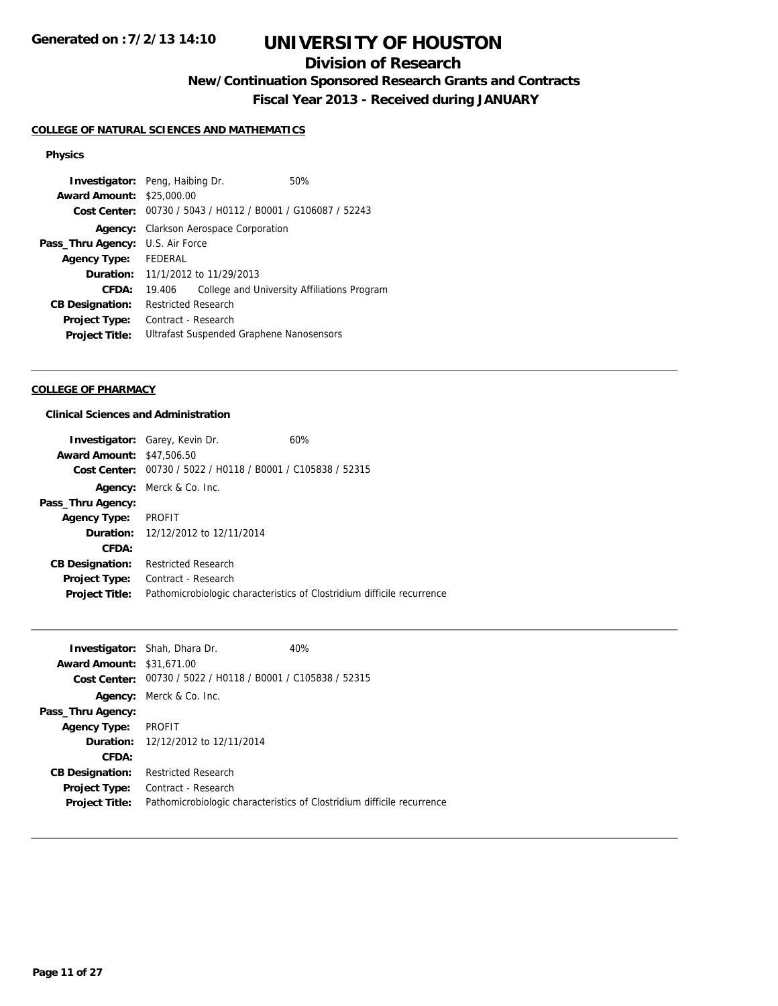# **Division of Research**

**New/Continuation Sponsored Research Grants and Contracts**

**Fiscal Year 2013 - Received during JANUARY**

## **COLLEGE OF NATURAL SCIENCES AND MATHEMATICS**

## **Physics**

|                |  | 50%                                                                                                                                                                                                                                                                                                                                     |
|----------------|--|-----------------------------------------------------------------------------------------------------------------------------------------------------------------------------------------------------------------------------------------------------------------------------------------------------------------------------------------|
|                |  |                                                                                                                                                                                                                                                                                                                                         |
|                |  |                                                                                                                                                                                                                                                                                                                                         |
|                |  |                                                                                                                                                                                                                                                                                                                                         |
| U.S. Air Force |  |                                                                                                                                                                                                                                                                                                                                         |
| FEDERAL        |  |                                                                                                                                                                                                                                                                                                                                         |
|                |  |                                                                                                                                                                                                                                                                                                                                         |
| 19.406         |  | College and University Affiliations Program                                                                                                                                                                                                                                                                                             |
|                |  |                                                                                                                                                                                                                                                                                                                                         |
|                |  |                                                                                                                                                                                                                                                                                                                                         |
|                |  |                                                                                                                                                                                                                                                                                                                                         |
|                |  | <b>Investigator:</b> Peng, Haibing Dr.<br><b>Award Amount: \$25,000.00</b><br>Cost Center: 00730 / 5043 / H0112 / B0001 / G106087 / 52243<br><b>Agency:</b> Clarkson Aerospace Corporation<br><b>Duration:</b> 11/1/2012 to 11/29/2013<br><b>Restricted Research</b><br>Contract - Research<br>Ultrafast Suspended Graphene Nanosensors |

## **COLLEGE OF PHARMACY**

## **Clinical Sciences and Administration**

|                                  | <b>Investigator:</b> Garey, Kevin Dr.          | 60%                                                                    |
|----------------------------------|------------------------------------------------|------------------------------------------------------------------------|
| <b>Award Amount: \$47,506.50</b> |                                                |                                                                        |
| Cost Center:                     | 00730 / 5022 / H0118 / B0001 / C105838 / 52315 |                                                                        |
|                                  | <b>Agency:</b> Merck & Co. Inc.                |                                                                        |
| Pass_Thru Agency:                |                                                |                                                                        |
| <b>Agency Type:</b>              | PROFIT                                         |                                                                        |
|                                  | <b>Duration:</b> 12/12/2012 to 12/11/2014      |                                                                        |
| CFDA:                            |                                                |                                                                        |
| <b>CB Designation:</b>           | <b>Restricted Research</b>                     |                                                                        |
| <b>Project Type:</b>             | Contract - Research                            |                                                                        |
| <b>Project Title:</b>            |                                                | Pathomicrobiologic characteristics of Clostridium difficile recurrence |
|                                  |                                                |                                                                        |

|                                  | <b>Investigator:</b> Shah, Dhara Dr.                        | 40%                                                                    |
|----------------------------------|-------------------------------------------------------------|------------------------------------------------------------------------|
| <b>Award Amount: \$31,671,00</b> |                                                             |                                                                        |
|                                  | Cost Center: 00730 / 5022 / H0118 / B0001 / C105838 / 52315 |                                                                        |
|                                  | <b>Agency:</b> Merck & Co. Inc.                             |                                                                        |
| Pass_Thru Agency:                |                                                             |                                                                        |
| <b>Agency Type:</b>              | PROFIT                                                      |                                                                        |
|                                  | <b>Duration:</b> 12/12/2012 to 12/11/2014                   |                                                                        |
| CFDA:                            |                                                             |                                                                        |
| <b>CB Designation:</b>           | <b>Restricted Research</b>                                  |                                                                        |
| Project Type:                    | Contract - Research                                         |                                                                        |
| <b>Project Title:</b>            |                                                             | Pathomicrobiologic characteristics of Clostridium difficile recurrence |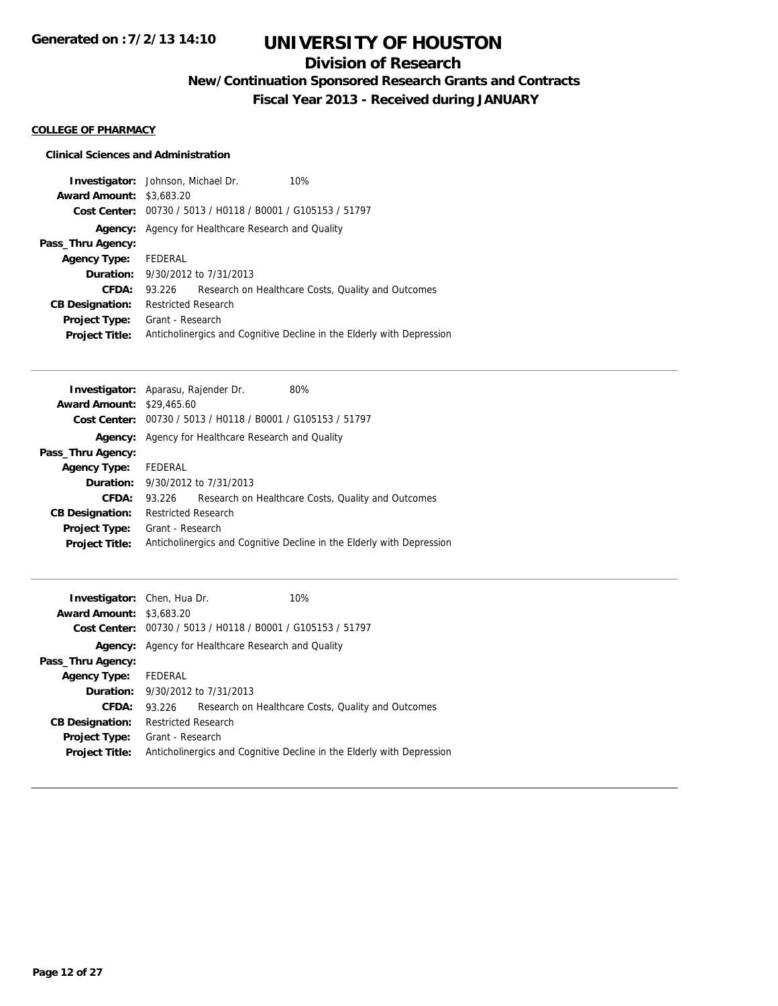# **Division of Research**

**New/Continuation Sponsored Research Grants and Contracts**

**Fiscal Year 2013 - Received during JANUARY**

### **COLLEGE OF PHARMACY**

## **Clinical Sciences and Administration**

| <b>Investigator:</b> Johnson, Michael Dr. |                            |                                                             | 10%                                                                   |
|-------------------------------------------|----------------------------|-------------------------------------------------------------|-----------------------------------------------------------------------|
| <b>Award Amount: \$3,683.20</b>           |                            |                                                             |                                                                       |
|                                           |                            | Cost Center: 00730 / 5013 / H0118 / B0001 / G105153 / 51797 |                                                                       |
|                                           |                            | <b>Agency:</b> Agency for Healthcare Research and Quality   |                                                                       |
| Pass_Thru Agency:                         |                            |                                                             |                                                                       |
| <b>Agency Type:</b>                       | FEDERAL                    |                                                             |                                                                       |
|                                           |                            | <b>Duration:</b> 9/30/2012 to 7/31/2013                     |                                                                       |
| CFDA:                                     | 93.226                     |                                                             | Research on Healthcare Costs, Quality and Outcomes                    |
| <b>CB Designation:</b>                    | <b>Restricted Research</b> |                                                             |                                                                       |
| <b>Project Type:</b>                      | Grant - Research           |                                                             |                                                                       |
| <b>Project Title:</b>                     |                            |                                                             | Anticholinergics and Cognitive Decline in the Elderly with Depression |

| <b>Investigator:</b> Aparasu, Rajender Dr. |                            |                                                | 80%                                                                   |
|--------------------------------------------|----------------------------|------------------------------------------------|-----------------------------------------------------------------------|
| <b>Award Amount: \$29,465.60</b>           |                            |                                                |                                                                       |
| Cost Center:                               |                            | 00730 / 5013 / H0118 / B0001 / G105153 / 51797 |                                                                       |
| Agency:                                    |                            | Agency for Healthcare Research and Quality     |                                                                       |
| Pass_Thru Agency:                          |                            |                                                |                                                                       |
| <b>Agency Type:</b>                        | FEDERAL                    |                                                |                                                                       |
|                                            |                            | <b>Duration:</b> 9/30/2012 to 7/31/2013        |                                                                       |
| CFDA:                                      | 93.226                     |                                                | Research on Healthcare Costs, Quality and Outcomes                    |
| <b>CB Designation:</b>                     | <b>Restricted Research</b> |                                                |                                                                       |
| <b>Project Type:</b>                       | Grant - Research           |                                                |                                                                       |
| <b>Project Title:</b>                      |                            |                                                | Anticholinergics and Cognitive Decline in the Elderly with Depression |
|                                            |                            |                                                |                                                                       |

| <b>Investigator:</b> Chen, Hua Dr. |                            |                                                             | 10%                                                                   |
|------------------------------------|----------------------------|-------------------------------------------------------------|-----------------------------------------------------------------------|
| <b>Award Amount: \$3,683.20</b>    |                            |                                                             |                                                                       |
|                                    |                            | Cost Center: 00730 / 5013 / H0118 / B0001 / G105153 / 51797 |                                                                       |
|                                    |                            | <b>Agency:</b> Agency for Healthcare Research and Quality   |                                                                       |
| Pass_Thru Agency:                  |                            |                                                             |                                                                       |
| <b>Agency Type:</b>                | FEDERAL                    |                                                             |                                                                       |
|                                    |                            | <b>Duration:</b> 9/30/2012 to 7/31/2013                     |                                                                       |
| CFDA:                              | 93.226                     |                                                             | Research on Healthcare Costs, Quality and Outcomes                    |
| <b>CB Designation:</b>             | <b>Restricted Research</b> |                                                             |                                                                       |
| <b>Project Type:</b>               | Grant - Research           |                                                             |                                                                       |
| <b>Project Title:</b>              |                            |                                                             | Anticholinergics and Cognitive Decline in the Elderly with Depression |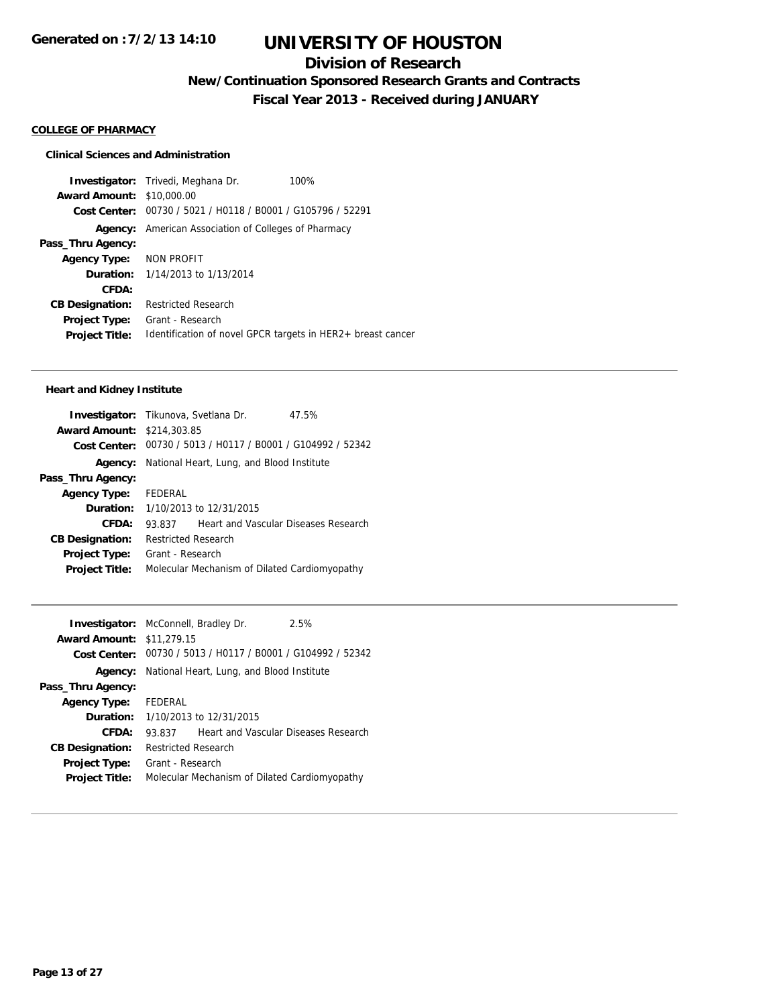# **Division of Research**

**New/Continuation Sponsored Research Grants and Contracts**

**Fiscal Year 2013 - Received during JANUARY**

#### **COLLEGE OF PHARMACY**

### **Clinical Sciences and Administration**

**Investigator:** Trivedi, Meghana Dr. 100% **Award Amount:** \$10,000.00 **Cost Center:** 00730 / 5021 / H0118 / B0001 / G105796 / 52291 **Agency:** American Association of Colleges of Pharmacy **Pass\_Thru Agency: Agency Type:** NON PROFIT **Duration:** 1/14/2013 to 1/13/2014 **CFDA: CB Designation:** Restricted Research **Project Type:** Grant - Research **Project Title:** Identification of novel GPCR targets in HER2+ breast cancer

#### **Heart and Kidney Institute**

| Investigator: Tikunova, Svetlana Dr. |                            |                                                             | 47.5% |
|--------------------------------------|----------------------------|-------------------------------------------------------------|-------|
| <b>Award Amount: \$214,303.85</b>    |                            |                                                             |       |
|                                      |                            | Cost Center: 00730 / 5013 / H0117 / B0001 / G104992 / 52342 |       |
| Agency:                              |                            | National Heart, Lung, and Blood Institute                   |       |
| Pass_Thru Agency:                    |                            |                                                             |       |
| <b>Agency Type:</b>                  | FEDERAL                    |                                                             |       |
| <b>Duration:</b>                     | 1/10/2013 to 12/31/2015    |                                                             |       |
| CFDA:                                | 93.837                     | Heart and Vascular Diseases Research                        |       |
| <b>CB Designation:</b>               | <b>Restricted Research</b> |                                                             |       |
| <b>Project Type:</b>                 | Grant - Research           |                                                             |       |
| <b>Project Title:</b>                |                            | Molecular Mechanism of Dilated Cardiomyopathy               |       |

| <b>Investigator:</b> McConnell, Bradley Dr. |                            |                                                             | 2.5% |
|---------------------------------------------|----------------------------|-------------------------------------------------------------|------|
| <b>Award Amount: \$11,279.15</b>            |                            |                                                             |      |
|                                             |                            | Cost Center: 00730 / 5013 / H0117 / B0001 / G104992 / 52342 |      |
|                                             |                            | Agency: National Heart, Lung, and Blood Institute           |      |
| Pass_Thru Agency:                           |                            |                                                             |      |
| <b>Agency Type:</b>                         | FEDERAL                    |                                                             |      |
|                                             |                            | <b>Duration:</b> 1/10/2013 to 12/31/2015                    |      |
| CFDA:                                       | 93.837                     | Heart and Vascular Diseases Research                        |      |
| <b>CB Designation:</b>                      | <b>Restricted Research</b> |                                                             |      |
| <b>Project Type:</b>                        | Grant - Research           |                                                             |      |
| <b>Project Title:</b>                       |                            | Molecular Mechanism of Dilated Cardiomyopathy               |      |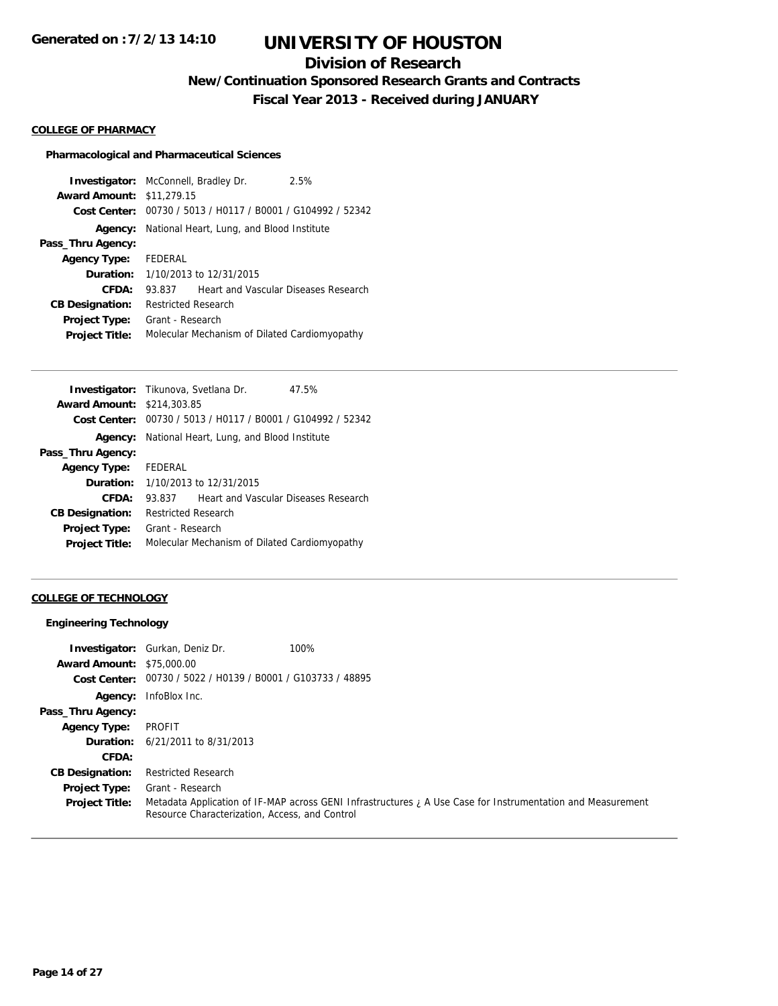# **Division of Research**

**New/Continuation Sponsored Research Grants and Contracts**

**Fiscal Year 2013 - Received during JANUARY**

#### **COLLEGE OF PHARMACY**

#### **Pharmacological and Pharmaceutical Sciences**

**Investigator:** McConnell, Bradley Dr. 2.5% **Award Amount:** \$11,279.15 **Cost Center:** 00730 / 5013 / H0117 / B0001 / G104992 / 52342 **Agency:** National Heart, Lung, and Blood Institute **Pass\_Thru Agency: Agency Type:** FEDERAL **Duration:** 1/10/2013 to 12/31/2015 **CFDA:** 93.837 Heart and Vascular Diseases Research **CB Designation:** Restricted Research **Project Type:** Grant - Research **Project Title:** Molecular Mechanism of Dilated Cardiomyopathy

| <b>Investigator:</b> Tikunova, Svetlana Dr. |                                                             |  | 47.5%                                |
|---------------------------------------------|-------------------------------------------------------------|--|--------------------------------------|
| <b>Award Amount: \$214,303.85</b>           |                                                             |  |                                      |
|                                             | Cost Center: 00730 / 5013 / H0117 / B0001 / G104992 / 52342 |  |                                      |
| Agency:                                     | National Heart, Lung, and Blood Institute                   |  |                                      |
| Pass_Thru Agency:                           |                                                             |  |                                      |
| <b>Agency Type:</b>                         | FEDERAL                                                     |  |                                      |
| Duration:                                   | 1/10/2013 to 12/31/2015                                     |  |                                      |
| CFDA:                                       | 93.837                                                      |  | Heart and Vascular Diseases Research |
| <b>CB Designation:</b>                      | <b>Restricted Research</b>                                  |  |                                      |
| <b>Project Type:</b>                        | Grant - Research                                            |  |                                      |
| <b>Project Title:</b>                       | Molecular Mechanism of Dilated Cardiomyopathy               |  |                                      |
|                                             |                                                             |  |                                      |

#### **COLLEGE OF TECHNOLOGY**

#### **Engineering Technology**

| <b>Award Amount: \$75,000.00</b> | <b>Investigator:</b> Gurkan, Deniz Dr.<br>100%                                                                                                                |
|----------------------------------|---------------------------------------------------------------------------------------------------------------------------------------------------------------|
|                                  |                                                                                                                                                               |
|                                  | Cost Center: $00730 / 5022 / 10139 / 80001 / 6103733 / 48895$                                                                                                 |
| Agency:                          | InfoBlox Inc.                                                                                                                                                 |
| Pass_Thru Agency:                |                                                                                                                                                               |
| <b>Agency Type:</b>              | PROFIT                                                                                                                                                        |
|                                  | <b>Duration:</b> $6/21/2011$ to $8/31/2013$                                                                                                                   |
| CFDA:                            |                                                                                                                                                               |
| <b>CB Designation:</b>           | <b>Restricted Research</b>                                                                                                                                    |
| Project Type:                    | Grant - Research                                                                                                                                              |
| <b>Project Title:</b>            | Metadata Application of IF-MAP across GENI Infrastructures ¿ A Use Case for Instrumentation and Measurement<br>Resource Characterization, Access, and Control |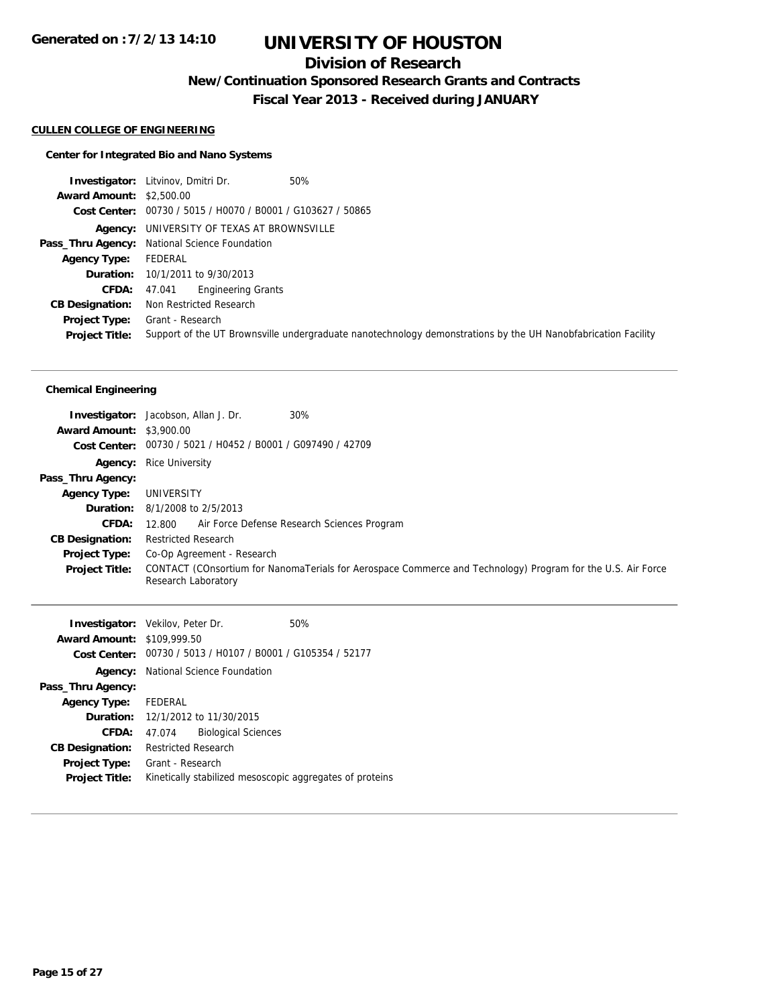# **Division of Research**

**New/Continuation Sponsored Research Grants and Contracts**

**Fiscal Year 2013 - Received during JANUARY**

#### **CULLEN COLLEGE OF ENGINEERING**

## **Center for Integrated Bio and Nano Systems**

|                                 | <b>Investigator:</b> Litvinov, Dmitri Dr.<br>50%                                                              |
|---------------------------------|---------------------------------------------------------------------------------------------------------------|
| <b>Award Amount: \$2,500.00</b> |                                                                                                               |
|                                 | Cost Center: 00730 / 5015 / H0070 / B0001 / G103627 / 50865                                                   |
|                                 | <b>Agency:</b> UNIVERSITY OF TEXAS AT BROWNSVILLE                                                             |
|                                 | Pass_Thru Agency: National Science Foundation                                                                 |
| <b>Agency Type:</b>             | FEDERAL                                                                                                       |
|                                 | <b>Duration:</b> 10/1/2011 to 9/30/2013                                                                       |
| <b>CFDA:</b>                    | <b>Engineering Grants</b><br>47.041                                                                           |
| <b>CB Designation:</b>          | Non Restricted Research                                                                                       |
| <b>Project Type:</b>            | Grant - Research                                                                                              |
| <b>Project Title:</b>           | Support of the UT Brownsville undergraduate nanotechnology demonstrations by the UH Nanobfabrication Facility |

#### **Chemical Engineering**

|                                 | 30%<br><b>Investigator:</b> Jacobson, Allan J. Dr.                                                                                 |
|---------------------------------|------------------------------------------------------------------------------------------------------------------------------------|
| <b>Award Amount: \$3,900.00</b> |                                                                                                                                    |
|                                 | Cost Center: 00730 / 5021 / H0452 / B0001 / G097490 / 42709                                                                        |
|                                 | <b>Agency:</b> Rice University                                                                                                     |
| Pass_Thru Agency:               |                                                                                                                                    |
| <b>Agency Type:</b>             | UNIVERSITY                                                                                                                         |
|                                 | <b>Duration:</b> 8/1/2008 to 2/5/2013                                                                                              |
| <b>CFDA:</b>                    | Air Force Defense Research Sciences Program<br>12.800                                                                              |
| <b>CB Designation:</b>          | <b>Restricted Research</b>                                                                                                         |
| Project Type:                   | Co-Op Agreement - Research                                                                                                         |
| <b>Project Title:</b>           | CONTACT (COnsortium for NanomaTerials for Aerospace Commerce and Technology) Program for the U.S. Air Force<br>Research Laboratory |

| <b>Investigator:</b> Vekilov, Peter Dr. |                                                             |                            | 50% |
|-----------------------------------------|-------------------------------------------------------------|----------------------------|-----|
| <b>Award Amount: \$109,999.50</b>       |                                                             |                            |     |
|                                         | Cost Center: 00730 / 5013 / H0107 / B0001 / G105354 / 52177 |                            |     |
|                                         | <b>Agency:</b> National Science Foundation                  |                            |     |
| Pass_Thru Agency:                       |                                                             |                            |     |
| <b>Agency Type:</b>                     | FEDERAL                                                     |                            |     |
|                                         | <b>Duration:</b> 12/1/2012 to 11/30/2015                    |                            |     |
| CFDA:                                   | 47.074                                                      | <b>Biological Sciences</b> |     |
| <b>CB Designation:</b>                  | <b>Restricted Research</b>                                  |                            |     |
| Project Type:                           | Grant - Research                                            |                            |     |
| <b>Project Title:</b>                   | Kinetically stabilized mesoscopic aggregates of proteins    |                            |     |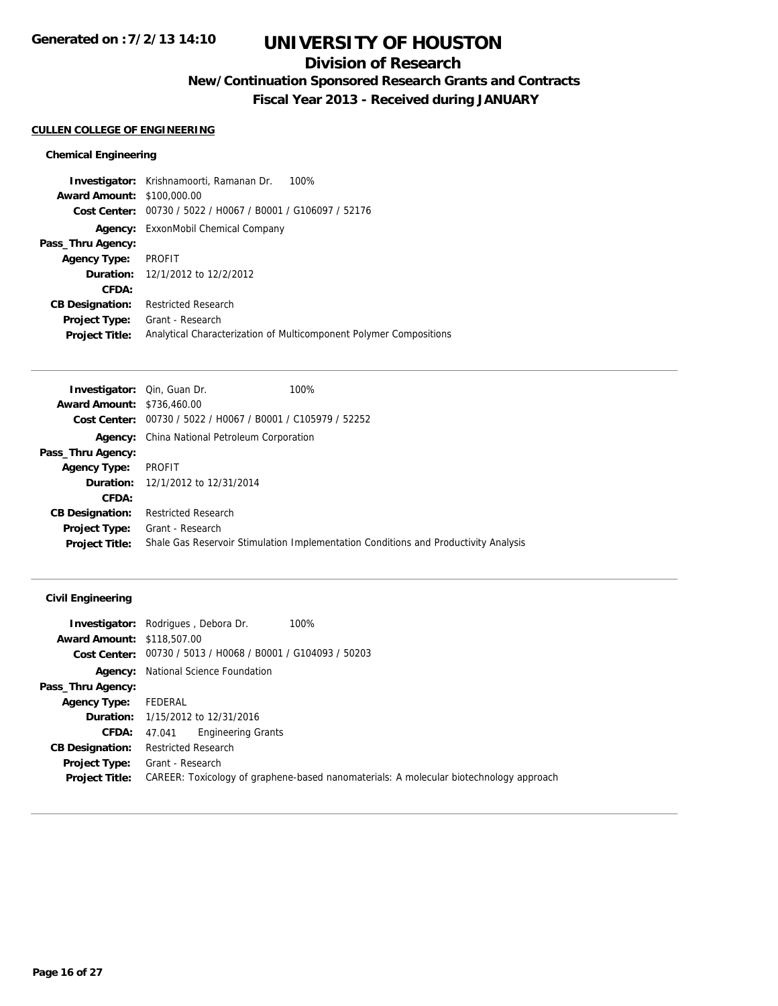# **Division of Research**

**New/Continuation Sponsored Research Grants and Contracts**

**Fiscal Year 2013 - Received during JANUARY**

## **CULLEN COLLEGE OF ENGINEERING**

#### **Chemical Engineering**

**Investigator:** Krishnamoorti, Ramanan Dr. 100% **Award Amount:** \$100,000.00 **Cost Center:** 00730 / 5022 / H0067 / B0001 / G106097 / 52176 **Agency:** ExxonMobil Chemical Company **Pass\_Thru Agency: Agency Type:** PROFIT **Duration:** 12/1/2012 to 12/2/2012 **CFDA: CB Designation:** Restricted Research **Project Type:** Grant - Research **Project Title:** Analytical Characterization of Multicomponent Polymer Compositions

| <b>Investigator:</b> Qin, Guan Dr. | 100%                                                                                |
|------------------------------------|-------------------------------------------------------------------------------------|
| <b>Award Amount: \$736,460.00</b>  |                                                                                     |
|                                    | Cost Center: $00730 / 5022 / 10067 / 80001 / 005979 / 52252$                        |
|                                    | <b>Agency:</b> China National Petroleum Corporation                                 |
| Pass_Thru Agency:                  |                                                                                     |
| <b>Agency Type:</b>                | <b>PROFIT</b>                                                                       |
|                                    | <b>Duration:</b> 12/1/2012 to 12/31/2014                                            |
| CFDA:                              |                                                                                     |
| <b>CB Designation:</b>             | <b>Restricted Research</b>                                                          |
| Project Type:                      | Grant - Research                                                                    |
| <b>Project Title:</b>              | Shale Gas Reservoir Stimulation Implementation Conditions and Productivity Analysis |
|                                    |                                                                                     |

#### **Civil Engineering**

|                                   | 100%<br><b>Investigator:</b> Rodrigues, Debora Dr.                                     |
|-----------------------------------|----------------------------------------------------------------------------------------|
| <b>Award Amount: \$118,507.00</b> |                                                                                        |
|                                   | <b>Cost Center:</b> $00730 / 5013 / 40068 / 80001 / 6104093 / 50203$                   |
|                                   | <b>Agency:</b> National Science Foundation                                             |
| Pass_Thru Agency:                 |                                                                                        |
| <b>Agency Type:</b>               | FEDERAL                                                                                |
|                                   | <b>Duration:</b> 1/15/2012 to 12/31/2016                                               |
| <b>CFDA:</b>                      | 47.041 Engineering Grants                                                              |
| <b>CB Designation:</b>            | <b>Restricted Research</b>                                                             |
| Project Type:                     | Grant - Research                                                                       |
| <b>Project Title:</b>             | CAREER: Toxicology of graphene-based nanomaterials: A molecular biotechnology approach |
|                                   |                                                                                        |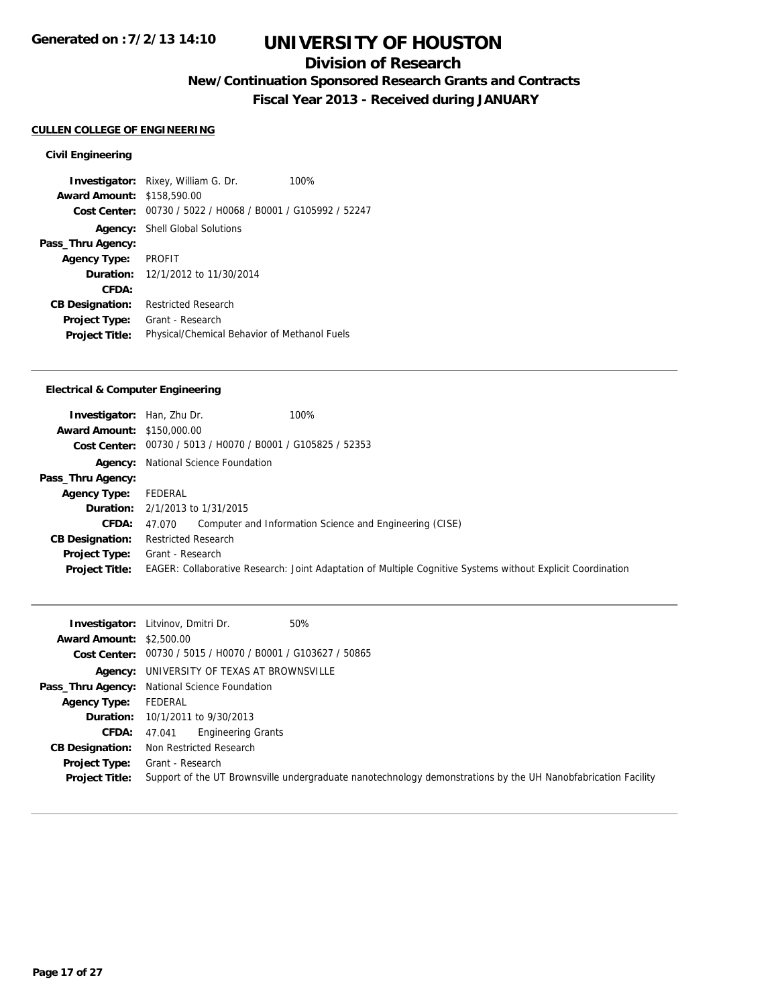# **Division of Research**

**New/Continuation Sponsored Research Grants and Contracts**

**Fiscal Year 2013 - Received during JANUARY**

## **CULLEN COLLEGE OF ENGINEERING**

## **Civil Engineering**

**Investigator:** Rixey, William G. Dr. 100% **Award Amount:** \$158,590.00 **Cost Center:** 00730 / 5022 / H0068 / B0001 / G105992 / 52247 **Agency:** Shell Global Solutions **Pass\_Thru Agency: Agency Type:** PROFIT **Duration:** 12/1/2012 to 11/30/2014 **CFDA: CB Designation:** Restricted Research **Project Type:** Grant - Research **Project Title:** Physical/Chemical Behavior of Methanol Fuels

#### **Electrical & Computer Engineering**

| <b>Investigator:</b> Han, Zhu Dr.<br><b>Award Amount: \$150,000.00</b> | 100%<br>Cost Center: 00730 / 5013 / H0070 / B0001 / G105825 / 52353                                                             |
|------------------------------------------------------------------------|---------------------------------------------------------------------------------------------------------------------------------|
|                                                                        | <b>Agency:</b> National Science Foundation                                                                                      |
| Pass_Thru Agency:                                                      |                                                                                                                                 |
| <b>Agency Type:</b>                                                    | FEDERAL                                                                                                                         |
|                                                                        | <b>Duration:</b> 2/1/2013 to 1/31/2015                                                                                          |
| <b>CFDA:</b>                                                           | Computer and Information Science and Engineering (CISE)<br>47.070                                                               |
| <b>CB Designation:</b>                                                 | <b>Restricted Research</b>                                                                                                      |
| <b>Project Type:</b><br><b>Project Title:</b>                          | Grant - Research<br>EAGER: Collaborative Research: Joint Adaptation of Multiple Cognitive Systems without Explicit Coordination |

|                                 | 50%<br><b>Investigator:</b> Litvinov, Dmitri Dr.                                                              |
|---------------------------------|---------------------------------------------------------------------------------------------------------------|
| <b>Award Amount: \$2,500.00</b> |                                                                                                               |
|                                 | Cost Center: 00730 / 5015 / H0070 / B0001 / G103627 / 50865                                                   |
|                                 | <b>Agency:</b> UNIVERSITY OF TEXAS AT BROWNSVILLE                                                             |
|                                 | Pass_Thru Agency: National Science Foundation                                                                 |
| <b>Agency Type:</b>             | FEDERAL                                                                                                       |
|                                 | <b>Duration:</b> 10/1/2011 to 9/30/2013                                                                       |
| <b>CFDA:</b>                    | Engineering Grants<br>47.041                                                                                  |
| <b>CB Designation:</b>          | Non Restricted Research                                                                                       |
| Project Type:                   | Grant - Research                                                                                              |
| <b>Project Title:</b>           | Support of the UT Brownsville undergraduate nanotechnology demonstrations by the UH Nanobfabrication Facility |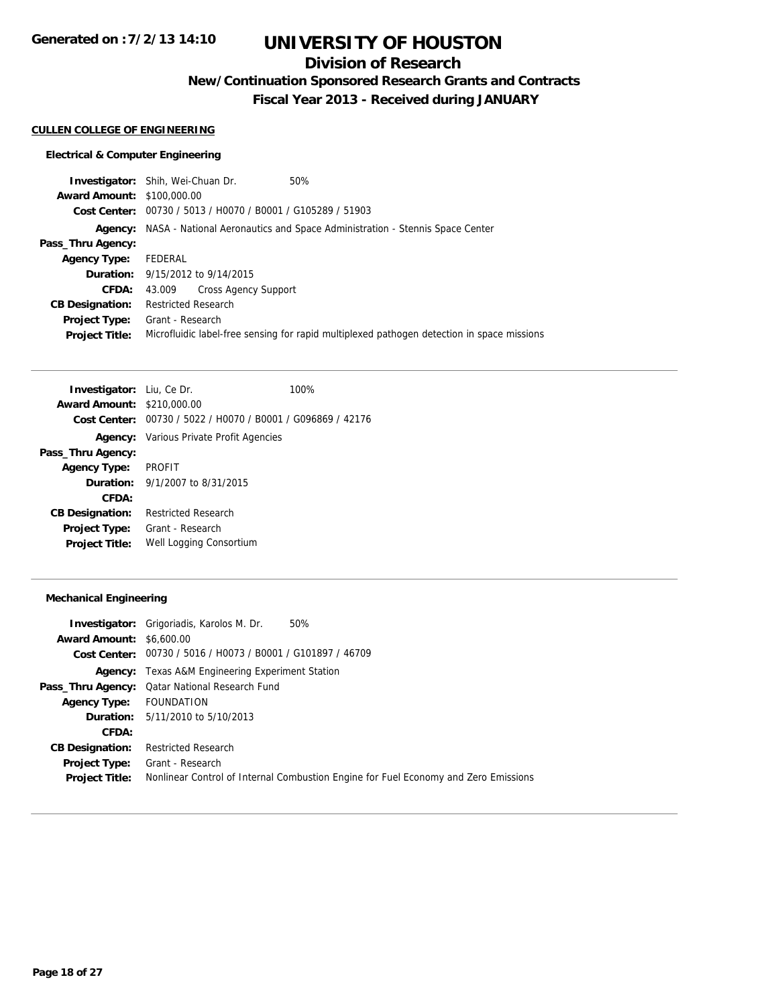# **Division of Research**

**New/Continuation Sponsored Research Grants and Contracts**

**Fiscal Year 2013 - Received during JANUARY**

## **CULLEN COLLEGE OF ENGINEERING**

#### **Electrical & Computer Engineering**

**Investigator:** Shih, Wei-Chuan Dr. 50% **Award Amount:** \$100,000.00 **Cost Center:** 00730 / 5013 / H0070 / B0001 / G105289 / 51903 **Agency:** NASA - National Aeronautics and Space Administration - Stennis Space Center **Pass\_Thru Agency: Agency Type:** FEDERAL **Duration:** 9/15/2012 to 9/14/2015 **CFDA:** 43.009 Cross Agency Support **CB Designation:** Restricted Research **Project Type:** Grant - Research **Project Title:** Microfluidic label-free sensing for rapid multiplexed pathogen detection in space missions

| Investigator: Liu, Ce Dr.         |                                                             | 100% |  |
|-----------------------------------|-------------------------------------------------------------|------|--|
| <b>Award Amount: \$210,000.00</b> |                                                             |      |  |
|                                   | Cost Center: 00730 / 5022 / H0070 / B0001 / G096869 / 42176 |      |  |
|                                   | <b>Agency:</b> Various Private Profit Agencies              |      |  |
| Pass_Thru Agency:                 |                                                             |      |  |
| <b>Agency Type:</b>               | PROFIT                                                      |      |  |
|                                   | <b>Duration:</b> 9/1/2007 to 8/31/2015                      |      |  |
| CFDA:                             |                                                             |      |  |
| <b>CB Designation:</b>            | <b>Restricted Research</b>                                  |      |  |
| <b>Project Type:</b>              | Grant - Research                                            |      |  |
| <b>Project Title:</b>             | Well Logging Consortium                                     |      |  |

#### **Mechanical Engineering**

|                                 | <b>Investigator:</b> Grigoriadis, Karolos M. Dr.<br>50%                             |
|---------------------------------|-------------------------------------------------------------------------------------|
| <b>Award Amount: \$6,600.00</b> |                                                                                     |
|                                 | Cost Center: 00730 / 5016 / H0073 / B0001 / G101897 / 46709                         |
|                                 | <b>Agency:</b> Texas A&M Engineering Experiment Station                             |
|                                 | Pass_Thru Agency: Qatar National Research Fund                                      |
| Agency Type: FOUNDATION         |                                                                                     |
|                                 | <b>Duration:</b> 5/11/2010 to 5/10/2013                                             |
| CFDA:                           |                                                                                     |
| <b>CB Designation:</b>          | <b>Restricted Research</b>                                                          |
|                                 | <b>Project Type:</b> Grant - Research                                               |
| <b>Project Title:</b>           | Nonlinear Control of Internal Combustion Engine for Fuel Economy and Zero Emissions |
|                                 |                                                                                     |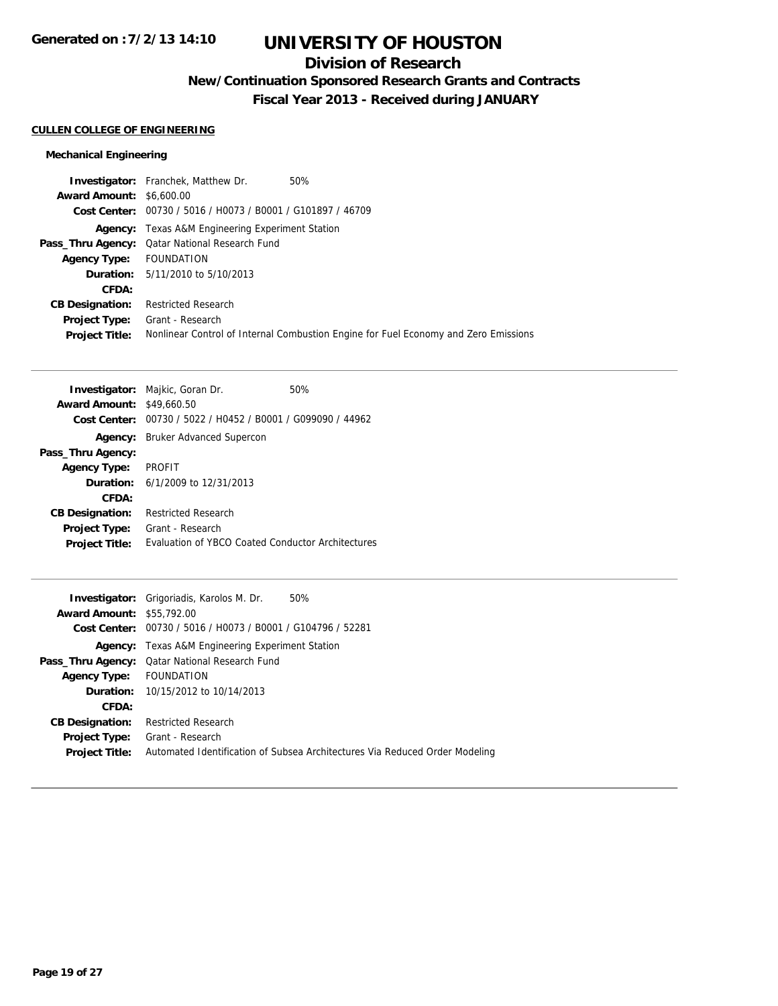# **Division of Research**

**New/Continuation Sponsored Research Grants and Contracts**

**Fiscal Year 2013 - Received during JANUARY**

### **CULLEN COLLEGE OF ENGINEERING**

## **Mechanical Engineering**

| <b>Investigator:</b> Franchek, Matthew Dr.                  | 50%                                                                                 |
|-------------------------------------------------------------|-------------------------------------------------------------------------------------|
| <b>Award Amount: \$6,600.00</b>                             |                                                                                     |
| Cost Center: 00730 / 5016 / H0073 / B0001 / G101897 / 46709 |                                                                                     |
| <b>Agency:</b> Texas A&M Engineering Experiment Station     |                                                                                     |
| Pass_Thru Agency: Qatar National Research Fund              |                                                                                     |
| Agency Type: FOUNDATION                                     |                                                                                     |
| <b>Duration:</b> 5/11/2010 to 5/10/2013                     |                                                                                     |
|                                                             |                                                                                     |
| <b>Restricted Research</b>                                  |                                                                                     |
| Grant - Research                                            |                                                                                     |
|                                                             | Nonlinear Control of Internal Combustion Engine for Fuel Economy and Zero Emissions |
|                                                             |                                                                                     |

|                                  | <b>Investigator:</b> Majkic, Goran Dr.                      | 50% |
|----------------------------------|-------------------------------------------------------------|-----|
| <b>Award Amount: \$49,660.50</b> |                                                             |     |
|                                  | Cost Center: 00730 / 5022 / H0452 / B0001 / G099090 / 44962 |     |
| Agency:                          | Bruker Advanced Supercon                                    |     |
| Pass_Thru Agency:                |                                                             |     |
| <b>Agency Type:</b>              | <b>PROFIT</b>                                               |     |
|                                  | <b>Duration:</b> $6/1/2009$ to $12/31/2013$                 |     |
| CFDA:                            |                                                             |     |
| <b>CB Designation:</b>           | <b>Restricted Research</b>                                  |     |
| <b>Project Type:</b>             | Grant - Research                                            |     |
| <b>Project Title:</b>            | Evaluation of YBCO Coated Conductor Architectures           |     |
|                                  |                                                             |     |

|                                  | <b>Investigator:</b> Grigoriadis, Karolos M. Dr.<br>50%                     |
|----------------------------------|-----------------------------------------------------------------------------|
| <b>Award Amount: \$55,792.00</b> |                                                                             |
|                                  | Cost Center: 00730 / 5016 / H0073 / B0001 / G104796 / 52281                 |
|                                  | <b>Agency:</b> Texas A&M Engineering Experiment Station                     |
| Pass_Thru Agency:                | Qatar National Research Fund                                                |
| <b>Agency Type:</b>              | FOUNDATION                                                                  |
|                                  | <b>Duration:</b> 10/15/2012 to 10/14/2013                                   |
| CFDA:                            |                                                                             |
| <b>CB Designation:</b>           | <b>Restricted Research</b>                                                  |
| Project Type:                    | Grant - Research                                                            |
| <b>Project Title:</b>            | Automated Identification of Subsea Architectures Via Reduced Order Modeling |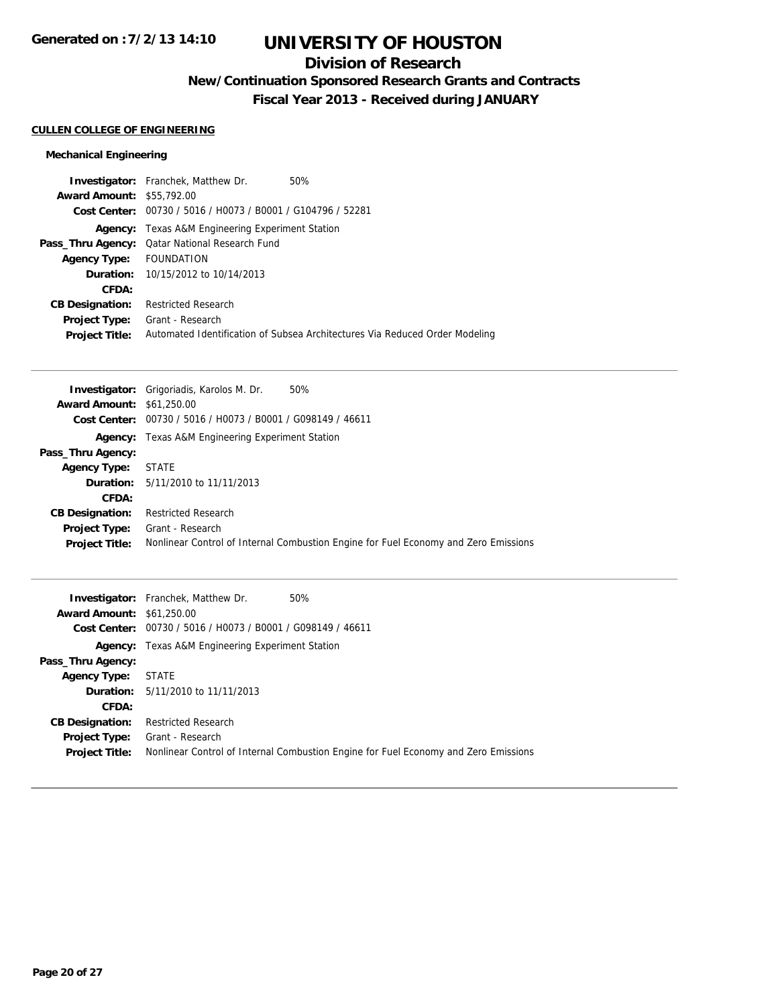# **Division of Research**

**New/Continuation Sponsored Research Grants and Contracts**

**Fiscal Year 2013 - Received during JANUARY**

## **CULLEN COLLEGE OF ENGINEERING**

## **Mechanical Engineering**

|                                  | <b>Investigator:</b> Franchek, Matthew Dr.                  | 50%                                                                         |
|----------------------------------|-------------------------------------------------------------|-----------------------------------------------------------------------------|
| <b>Award Amount: \$55,792.00</b> |                                                             |                                                                             |
|                                  | Cost Center: 00730 / 5016 / H0073 / B0001 / G104796 / 52281 |                                                                             |
|                                  | <b>Agency:</b> Texas A&M Engineering Experiment Station     |                                                                             |
|                                  | Pass_Thru Agency: Qatar National Research Fund              |                                                                             |
| Agency Type:                     | FOUNDATION                                                  |                                                                             |
|                                  | <b>Duration:</b> 10/15/2012 to 10/14/2013                   |                                                                             |
| CFDA:                            |                                                             |                                                                             |
| <b>CB Designation:</b>           | <b>Restricted Research</b>                                  |                                                                             |
| <b>Project Type:</b>             | Grant - Research                                            |                                                                             |
| <b>Project Title:</b>            |                                                             | Automated Identification of Subsea Architectures Via Reduced Order Modeling |

|                                  | 50%<br><b>Investigator:</b> Grigoriadis, Karolos M. Dr.                             |
|----------------------------------|-------------------------------------------------------------------------------------|
| <b>Award Amount: \$61,250.00</b> |                                                                                     |
|                                  | Cost Center: 00730 / 5016 / H0073 / B0001 / G098149 / 46611                         |
|                                  | <b>Agency:</b> Texas A&M Engineering Experiment Station                             |
| Pass_Thru Agency:                |                                                                                     |
| <b>Agency Type:</b>              | <b>STATE</b>                                                                        |
|                                  | <b>Duration:</b> 5/11/2010 to 11/11/2013                                            |
| CFDA:                            |                                                                                     |
| <b>CB Designation:</b>           | <b>Restricted Research</b>                                                          |
| <b>Project Type:</b>             | Grant - Research                                                                    |
| <b>Project Title:</b>            | Nonlinear Control of Internal Combustion Engine for Fuel Economy and Zero Emissions |

|                                  | 50%<br><b>Investigator:</b> Franchek, Matthew Dr.                                   |  |
|----------------------------------|-------------------------------------------------------------------------------------|--|
| <b>Award Amount: \$61,250.00</b> |                                                                                     |  |
|                                  | Cost Center: 00730 / 5016 / H0073 / B0001 / G098149 / 46611                         |  |
| Agency:                          | Texas A&M Engineering Experiment Station                                            |  |
| Pass_Thru Agency:                |                                                                                     |  |
| <b>Agency Type:</b>              | STATE                                                                               |  |
|                                  | <b>Duration:</b> 5/11/2010 to 11/11/2013                                            |  |
| CFDA:                            |                                                                                     |  |
| <b>CB Designation:</b>           | <b>Restricted Research</b>                                                          |  |
| <b>Project Type:</b>             | Grant - Research                                                                    |  |
| <b>Project Title:</b>            | Nonlinear Control of Internal Combustion Engine for Fuel Economy and Zero Emissions |  |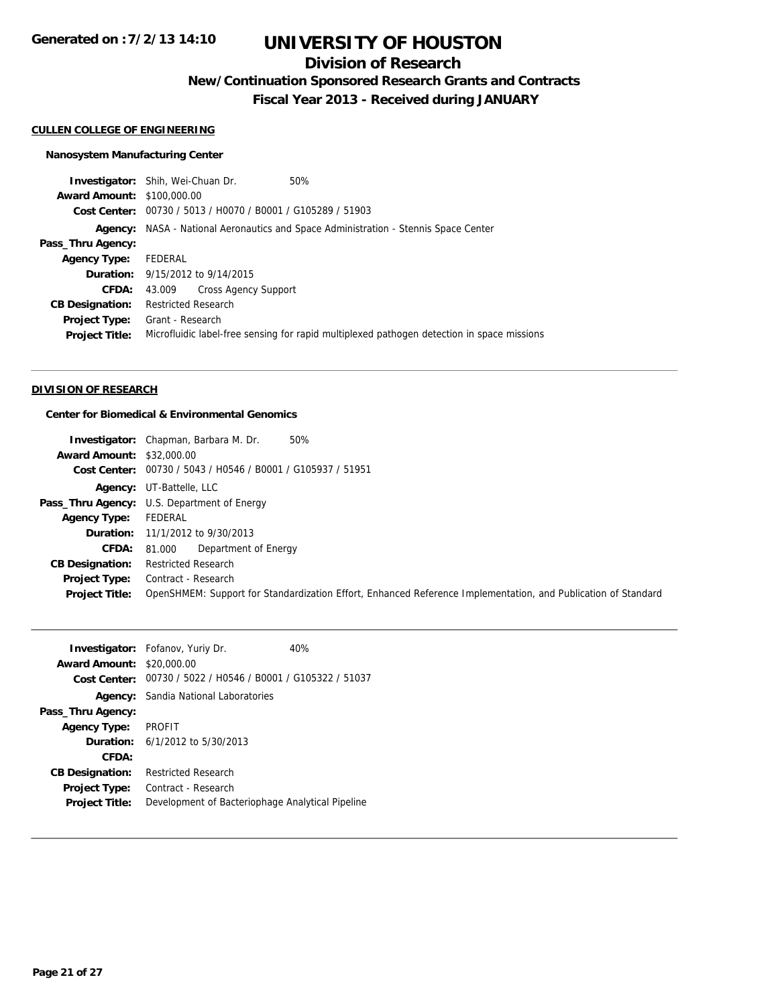# **Division of Research**

**New/Continuation Sponsored Research Grants and Contracts**

**Fiscal Year 2013 - Received during JANUARY**

#### **CULLEN COLLEGE OF ENGINEERING**

#### **Nanosystem Manufacturing Center**

**Investigator:** Shih, Wei-Chuan Dr. 50% **Award Amount:** \$100,000.00 **Cost Center:** 00730 / 5013 / H0070 / B0001 / G105289 / 51903 **Agency:** NASA - National Aeronautics and Space Administration - Stennis Space Center **Pass\_Thru Agency: Agency Type:** FEDERAL **Duration:** 9/15/2012 to 9/14/2015 **CFDA:** 43.009 Cross Agency Support **CB Designation:** Restricted Research **Project Type:** Grant - Research **Project Title:** Microfluidic label-free sensing for rapid multiplexed pathogen detection in space missions

## **DIVISION OF RESEARCH**

### **Center for Biomedical & Environmental Genomics**

|                                  | 50%<br><b>Investigator:</b> Chapman, Barbara M. Dr.                                                           |
|----------------------------------|---------------------------------------------------------------------------------------------------------------|
| <b>Award Amount: \$32,000.00</b> |                                                                                                               |
|                                  | Cost Center: 00730 / 5043 / H0546 / B0001 / G105937 / 51951                                                   |
|                                  | <b>Agency:</b> UT-Battelle, LLC                                                                               |
|                                  | Pass_Thru Agency: U.S. Department of Energy                                                                   |
| <b>Agency Type:</b>              | FEDERAL                                                                                                       |
|                                  | <b>Duration:</b> 11/1/2012 to 9/30/2013                                                                       |
| <b>CFDA:</b>                     | Department of Energy<br>81.000                                                                                |
| <b>CB Designation:</b>           | <b>Restricted Research</b>                                                                                    |
| <b>Project Type:</b>             | Contract - Research                                                                                           |
| <b>Project Title:</b>            | OpenSHMEM: Support for Standardization Effort, Enhanced Reference Implementation, and Publication of Standard |

|                                  | <b>Investigator:</b> Fofanov, Yuriy Dr.                     | 40% |
|----------------------------------|-------------------------------------------------------------|-----|
| <b>Award Amount: \$20,000.00</b> |                                                             |     |
|                                  | Cost Center: 00730 / 5022 / H0546 / B0001 / G105322 / 51037 |     |
|                                  | <b>Agency:</b> Sandia National Laboratories                 |     |
| Pass_Thru Agency:                |                                                             |     |
| <b>Agency Type: PROFIT</b>       |                                                             |     |
|                                  | <b>Duration:</b> $6/1/2012$ to $5/30/2013$                  |     |
| CFDA:                            |                                                             |     |
| <b>CB Designation:</b>           | <b>Restricted Research</b>                                  |     |
| <b>Project Type:</b>             | Contract - Research                                         |     |
| <b>Project Title:</b>            | Development of Bacteriophage Analytical Pipeline            |     |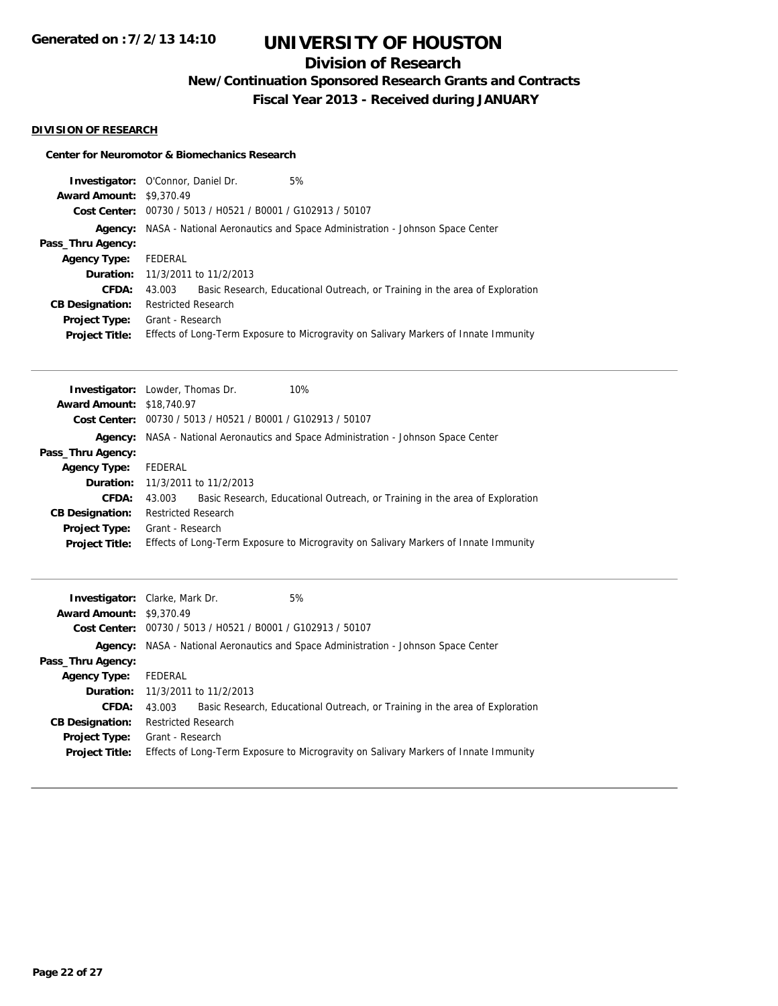# **Division of Research**

**New/Continuation Sponsored Research Grants and Contracts**

**Fiscal Year 2013 - Received during JANUARY**

## **DIVISION OF RESEARCH**

#### **Center for Neuromotor & Biomechanics Research**

| <b>Investigator:</b> O'Connor, Daniel Dr. |                            |                                                             | 5%                                                                                         |
|-------------------------------------------|----------------------------|-------------------------------------------------------------|--------------------------------------------------------------------------------------------|
| <b>Award Amount: \$9,370.49</b>           |                            |                                                             |                                                                                            |
|                                           |                            | Cost Center: 00730 / 5013 / H0521 / B0001 / G102913 / 50107 |                                                                                            |
|                                           |                            |                                                             | <b>Agency:</b> NASA - National Aeronautics and Space Administration - Johnson Space Center |
| Pass_Thru Agency:                         |                            |                                                             |                                                                                            |
| <b>Agency Type:</b>                       | FEDERAL                    |                                                             |                                                                                            |
|                                           |                            | <b>Duration:</b> 11/3/2011 to 11/2/2013                     |                                                                                            |
| CFDA:                                     | 43.003                     |                                                             | Basic Research, Educational Outreach, or Training in the area of Exploration               |
| <b>CB Designation:</b>                    | <b>Restricted Research</b> |                                                             |                                                                                            |
| <b>Project Type:</b>                      | Grant - Research           |                                                             |                                                                                            |
| <b>Project Title:</b>                     |                            |                                                             | Effects of Long-Term Exposure to Microgravity on Salivary Markers of Innate Immunity       |

|                                  | 10%<br><b>Investigator:</b> Lowder, Thomas Dr.                                             |  |
|----------------------------------|--------------------------------------------------------------------------------------------|--|
| <b>Award Amount: \$18,740.97</b> |                                                                                            |  |
|                                  | Cost Center: 00730 / 5013 / H0521 / B0001 / G102913 / 50107                                |  |
|                                  | <b>Agency:</b> NASA - National Aeronautics and Space Administration - Johnson Space Center |  |
| Pass_Thru Agency:                |                                                                                            |  |
| <b>Agency Type:</b>              | FEDERAL                                                                                    |  |
|                                  | <b>Duration:</b> 11/3/2011 to 11/2/2013                                                    |  |
| CFDA:                            | Basic Research, Educational Outreach, or Training in the area of Exploration<br>43.003     |  |
| <b>CB Designation:</b>           | <b>Restricted Research</b>                                                                 |  |
| Project Type:                    | Grant - Research                                                                           |  |
| <b>Project Title:</b>            | Effects of Long-Term Exposure to Microgravity on Salivary Markers of Innate Immunity       |  |

|                                 | 5%<br><b>Investigator:</b> Clarke, Mark Dr.                                                |
|---------------------------------|--------------------------------------------------------------------------------------------|
| <b>Award Amount: \$9,370.49</b> |                                                                                            |
|                                 | Cost Center: 00730 / 5013 / H0521 / B0001 / G102913 / 50107                                |
|                                 | <b>Agency:</b> NASA - National Aeronautics and Space Administration - Johnson Space Center |
| Pass_Thru Agency:               |                                                                                            |
| <b>Agency Type:</b>             | FEDERAL                                                                                    |
|                                 | <b>Duration:</b> 11/3/2011 to 11/2/2013                                                    |
| <b>CFDA:</b>                    | Basic Research, Educational Outreach, or Training in the area of Exploration<br>43.003     |
| <b>CB Designation:</b>          | <b>Restricted Research</b>                                                                 |
| <b>Project Type:</b>            | Grant - Research                                                                           |
| <b>Project Title:</b>           | Effects of Long-Term Exposure to Microgravity on Salivary Markers of Innate Immunity       |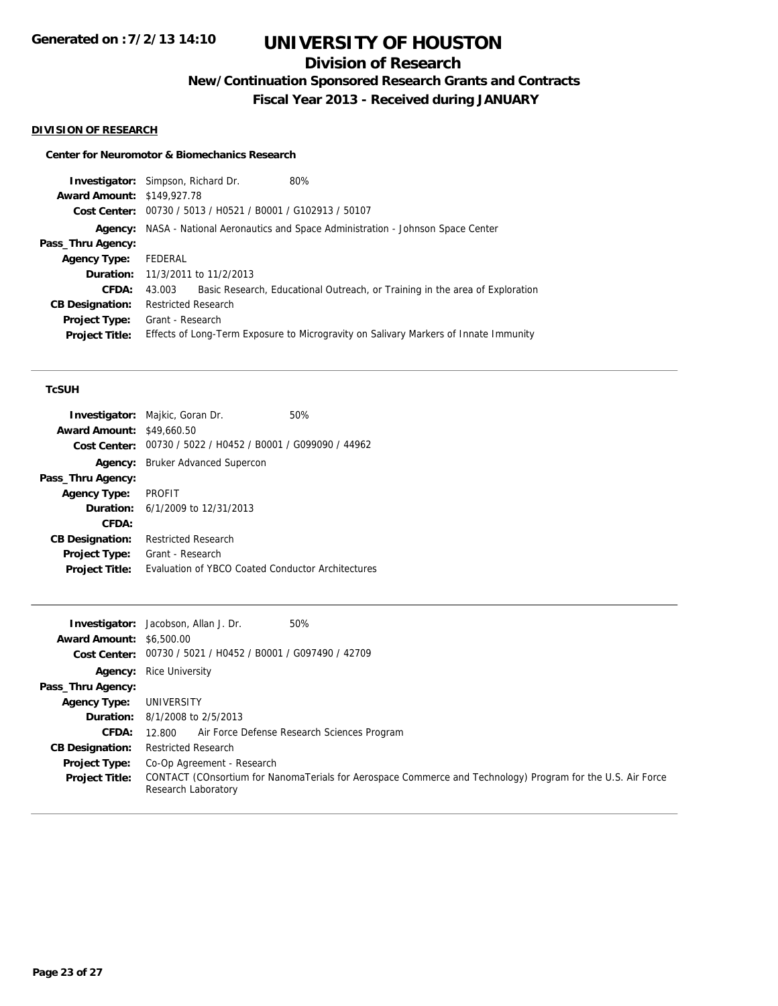# **Division of Research**

**New/Continuation Sponsored Research Grants and Contracts**

**Fiscal Year 2013 - Received during JANUARY**

### **DIVISION OF RESEARCH**

### **Center for Neuromotor & Biomechanics Research**

| <b>Investigator:</b> Simpson, Richard Dr. |                            |                                                             | 80%                                                                                  |
|-------------------------------------------|----------------------------|-------------------------------------------------------------|--------------------------------------------------------------------------------------|
| <b>Award Amount: \$149,927.78</b>         |                            |                                                             |                                                                                      |
|                                           |                            | Cost Center: 00730 / 5013 / H0521 / B0001 / G102913 / 50107 |                                                                                      |
|                                           |                            |                                                             | Agency: NASA - National Aeronautics and Space Administration - Johnson Space Center  |
| Pass_Thru Agency:                         |                            |                                                             |                                                                                      |
| <b>Agency Type:</b>                       | FEDERAL                    |                                                             |                                                                                      |
|                                           |                            | <b>Duration:</b> 11/3/2011 to 11/2/2013                     |                                                                                      |
| CFDA:                                     | 43.003                     |                                                             | Basic Research, Educational Outreach, or Training in the area of Exploration         |
| <b>CB Designation:</b>                    | <b>Restricted Research</b> |                                                             |                                                                                      |
| Project Type:                             | Grant - Research           |                                                             |                                                                                      |
| <b>Project Title:</b>                     |                            |                                                             | Effects of Long-Term Exposure to Microgravity on Salivary Markers of Innate Immunity |
|                                           |                            |                                                             |                                                                                      |

#### **TcSUH**

|                                                   | 50%                                                                                                                                              |
|---------------------------------------------------|--------------------------------------------------------------------------------------------------------------------------------------------------|
| \$49,660.50                                       |                                                                                                                                                  |
| 00730 / 5022 / H0452 / B0001 / G099090 / 44962    |                                                                                                                                                  |
|                                                   |                                                                                                                                                  |
|                                                   |                                                                                                                                                  |
| <b>PROFIT</b>                                     |                                                                                                                                                  |
|                                                   |                                                                                                                                                  |
|                                                   |                                                                                                                                                  |
| <b>Restricted Research</b>                        |                                                                                                                                                  |
| Grant - Research                                  |                                                                                                                                                  |
| Evaluation of YBCO Coated Conductor Architectures |                                                                                                                                                  |
|                                                   | <b>Investigator:</b> Majkic, Goran Dr.<br><b>Award Amount:</b><br><b>Bruker Advanced Supercon</b><br><b>Duration:</b> $6/1/2009$ to $12/31/2013$ |

|                                 | <b>Investigator:</b> Jacobson, Allan J. Dr.                 | 50%                                                                                                         |
|---------------------------------|-------------------------------------------------------------|-------------------------------------------------------------------------------------------------------------|
| <b>Award Amount: \$6,500.00</b> |                                                             |                                                                                                             |
|                                 | Cost Center: 00730 / 5021 / H0452 / B0001 / G097490 / 42709 |                                                                                                             |
| Agency:                         | <b>Rice University</b>                                      |                                                                                                             |
| Pass_Thru Agency:               |                                                             |                                                                                                             |
| <b>Agency Type:</b>             | UNIVERSITY                                                  |                                                                                                             |
|                                 | <b>Duration:</b> 8/1/2008 to 2/5/2013                       |                                                                                                             |
| <b>CFDA:</b>                    | Air Force Defense Research Sciences Program<br>12.800       |                                                                                                             |
| <b>CB Designation:</b>          | <b>Restricted Research</b>                                  |                                                                                                             |
| <b>Project Type:</b>            | Co-Op Agreement - Research                                  |                                                                                                             |
| <b>Project Title:</b>           | Research Laboratory                                         | CONTACT (COnsortium for NanomaTerials for Aerospace Commerce and Technology) Program for the U.S. Air Force |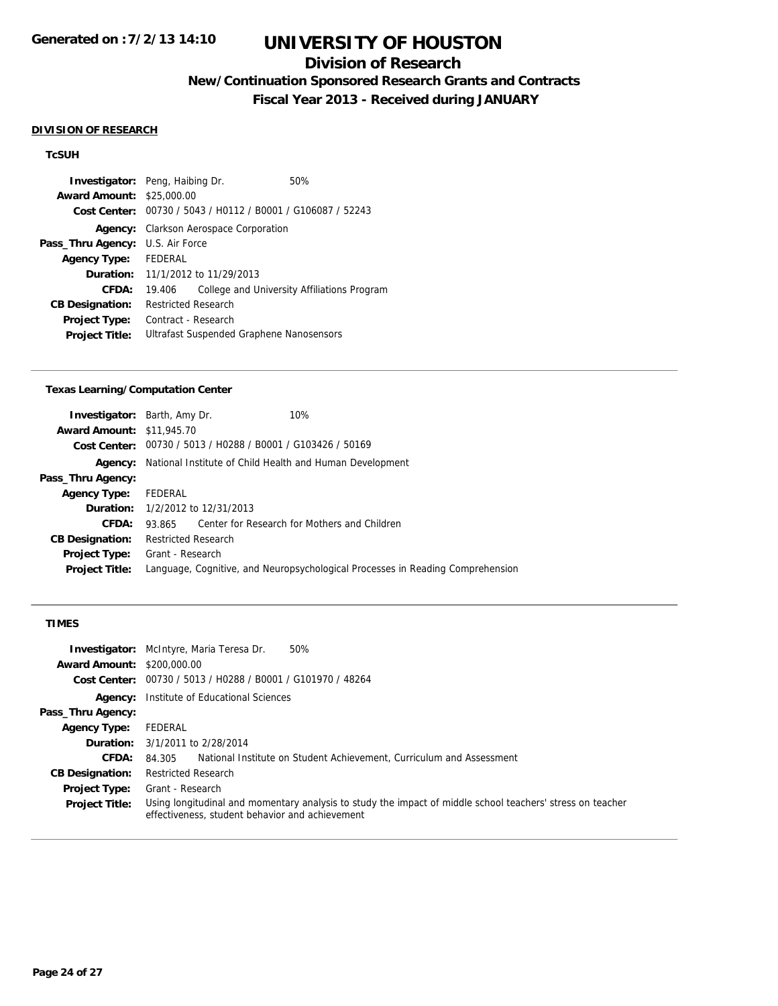# **Division of Research**

**New/Continuation Sponsored Research Grants and Contracts**

**Fiscal Year 2013 - Received during JANUARY**

#### **DIVISION OF RESEARCH**

## **TcSUH**

| <b>Investigator:</b> Peng, Haibing Dr. |                                                |                                          | 50%                                         |
|----------------------------------------|------------------------------------------------|------------------------------------------|---------------------------------------------|
| <b>Award Amount: \$25,000.00</b>       |                                                |                                          |                                             |
| Cost Center:                           | 00730 / 5043 / H0112 / B0001 / G106087 / 52243 |                                          |                                             |
| Agency:                                | Clarkson Aerospace Corporation                 |                                          |                                             |
| Pass_Thru Agency:                      | U.S. Air Force                                 |                                          |                                             |
| <b>Agency Type:</b>                    | <b>FFDFRAL</b>                                 |                                          |                                             |
| Duration:                              |                                                | 11/1/2012 to 11/29/2013                  |                                             |
| CFDA:                                  | 19.406                                         |                                          | College and University Affiliations Program |
| <b>CB Designation:</b>                 | <b>Restricted Research</b>                     |                                          |                                             |
| <b>Project Type:</b>                   | Contract - Research                            |                                          |                                             |
| <b>Project Title:</b>                  |                                                | Ultrafast Suspended Graphene Nanosensors |                                             |

#### **Texas Learning/Computation Center**

|                                  | <b>Investigator:</b> Barth, Amy Dr.                         | 10%                                                                            |
|----------------------------------|-------------------------------------------------------------|--------------------------------------------------------------------------------|
| <b>Award Amount: \$11,945.70</b> |                                                             |                                                                                |
|                                  | Cost Center: 00730 / 5013 / H0288 / B0001 / G103426 / 50169 |                                                                                |
| Agency:                          | National Institute of Child Health and Human Development    |                                                                                |
| Pass_Thru Agency:                |                                                             |                                                                                |
| Agency Type:                     | FEDERAL                                                     |                                                                                |
|                                  | <b>Duration:</b> 1/2/2012 to 12/31/2013                     |                                                                                |
| CFDA:                            | 93.865 Center for Research for Mothers and Children         |                                                                                |
| <b>CB Designation:</b>           | <b>Restricted Research</b>                                  |                                                                                |
| <b>Project Type:</b>             | Grant - Research                                            |                                                                                |
| <b>Project Title:</b>            |                                                             | Language, Cognitive, and Neuropsychological Processes in Reading Comprehension |
|                                  |                                                             |                                                                                |

## **TIMES**

| <b>Award Amount: \$200,000.00</b> | 50%<br><b>Investigator:</b> McIntyre, Maria Teresa Dr.                                                                                                        |
|-----------------------------------|---------------------------------------------------------------------------------------------------------------------------------------------------------------|
|                                   | Cost Center: 00730 / 5013 / H0288 / B0001 / G101970 / 48264                                                                                                   |
| Agency:                           | Institute of Educational Sciences                                                                                                                             |
| Pass_Thru Agency:                 |                                                                                                                                                               |
| <b>Agency Type:</b>               | FEDERAL                                                                                                                                                       |
|                                   | <b>Duration:</b> 3/1/2011 to 2/28/2014                                                                                                                        |
| CFDA:                             | National Institute on Student Achievement, Curriculum and Assessment<br>84.305                                                                                |
| <b>CB Designation:</b>            | <b>Restricted Research</b>                                                                                                                                    |
| <b>Project Type:</b>              | Grant - Research                                                                                                                                              |
| <b>Project Title:</b>             | Using longitudinal and momentary analysis to study the impact of middle school teachers' stress on teacher<br>effectiveness, student behavior and achievement |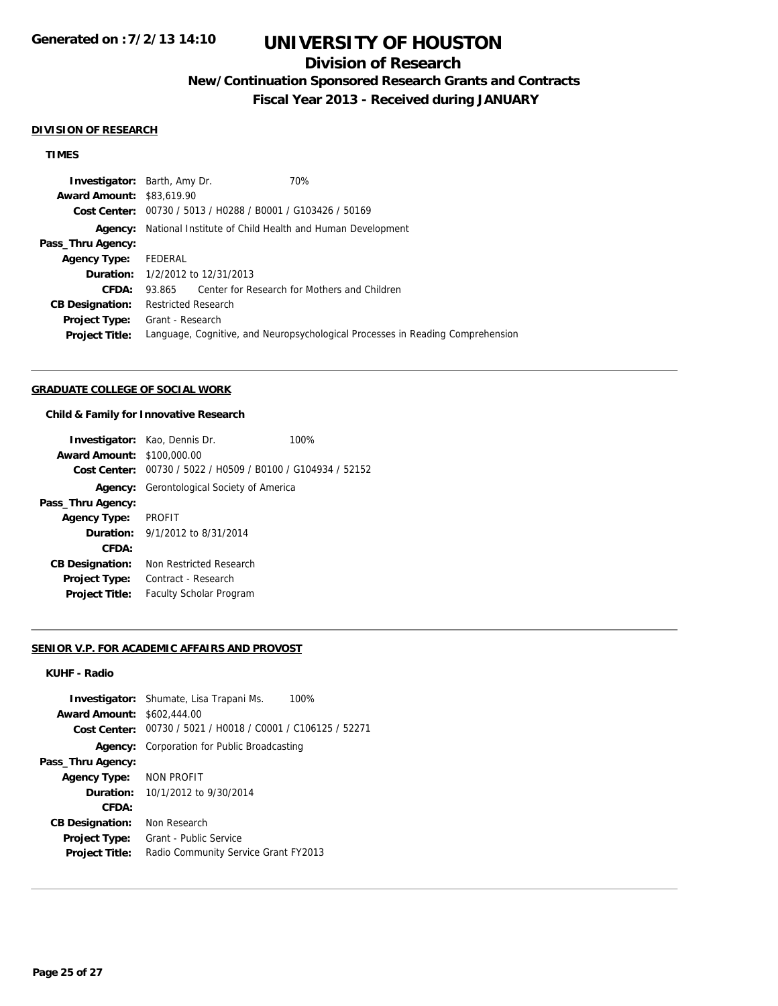# **Division of Research**

**New/Continuation Sponsored Research Grants and Contracts**

**Fiscal Year 2013 - Received during JANUARY**

#### **DIVISION OF RESEARCH**

## **TIMES**

| <b>Investigator:</b> Barth, Amy Dr. |                            |                                                             | 70%                                                                            |
|-------------------------------------|----------------------------|-------------------------------------------------------------|--------------------------------------------------------------------------------|
| <b>Award Amount: \$83,619.90</b>    |                            |                                                             |                                                                                |
|                                     |                            | Cost Center: 00730 / 5013 / H0288 / B0001 / G103426 / 50169 |                                                                                |
| Agency:                             |                            |                                                             | National Institute of Child Health and Human Development                       |
| Pass_Thru Agency:                   |                            |                                                             |                                                                                |
| <b>Agency Type:</b>                 | FEDERAL                    |                                                             |                                                                                |
|                                     |                            | <b>Duration:</b> $1/2/2012$ to $12/31/2013$                 |                                                                                |
| CFDA:                               | 93.865                     |                                                             | Center for Research for Mothers and Children                                   |
| <b>CB Designation:</b>              | <b>Restricted Research</b> |                                                             |                                                                                |
| Project Type:                       | Grant - Research           |                                                             |                                                                                |
| <b>Project Title:</b>               |                            |                                                             | Language, Cognitive, and Neuropsychological Processes in Reading Comprehension |
|                                     |                            |                                                             |                                                                                |

### **GRADUATE COLLEGE OF SOCIAL WORK**

#### **Child & Family for Innovative Research**

|                                   | <b>Investigator:</b> Kao, Dennis Dr.                        | 100% |
|-----------------------------------|-------------------------------------------------------------|------|
|                                   |                                                             |      |
| <b>Award Amount: \$100,000.00</b> |                                                             |      |
|                                   | Cost Center: 00730 / 5022 / H0509 / B0100 / G104934 / 52152 |      |
|                                   | <b>Agency:</b> Gerontological Society of America            |      |
| Pass_Thru Agency:                 |                                                             |      |
| <b>Agency Type:</b>               | <b>PROFIT</b>                                               |      |
|                                   | <b>Duration:</b> $9/1/2012$ to $8/31/2014$                  |      |
| CFDA:                             |                                                             |      |
| <b>CB Designation:</b>            | Non Restricted Research                                     |      |
| Project Type:                     | Contract - Research                                         |      |
| <b>Project Title:</b>             | <b>Faculty Scholar Program</b>                              |      |

#### **SENIOR V.P. FOR ACADEMIC AFFAIRS AND PROVOST**

### **KUHF - Radio**

|                        | 100%<br><b>Investigator:</b> Shumate, Lisa Trapani Ms. |
|------------------------|--------------------------------------------------------|
| <b>Award Amount:</b>   | \$602,444.00                                           |
| Cost Center:           | 00730 / 5021 / H0018 / C0001 / C106125 / 52271         |
| Agency:                | Corporation for Public Broadcasting                    |
| Pass_Thru Agency:      |                                                        |
| <b>Agency Type:</b>    | NON PROFIT                                             |
| <b>Duration:</b>       | 10/1/2012 to 9/30/2014                                 |
| CFDA:                  |                                                        |
| <b>CB Designation:</b> | Non Research                                           |
| <b>Project Type:</b>   | Grant - Public Service                                 |
| <b>Project Title:</b>  | Radio Community Service Grant FY2013                   |
|                        |                                                        |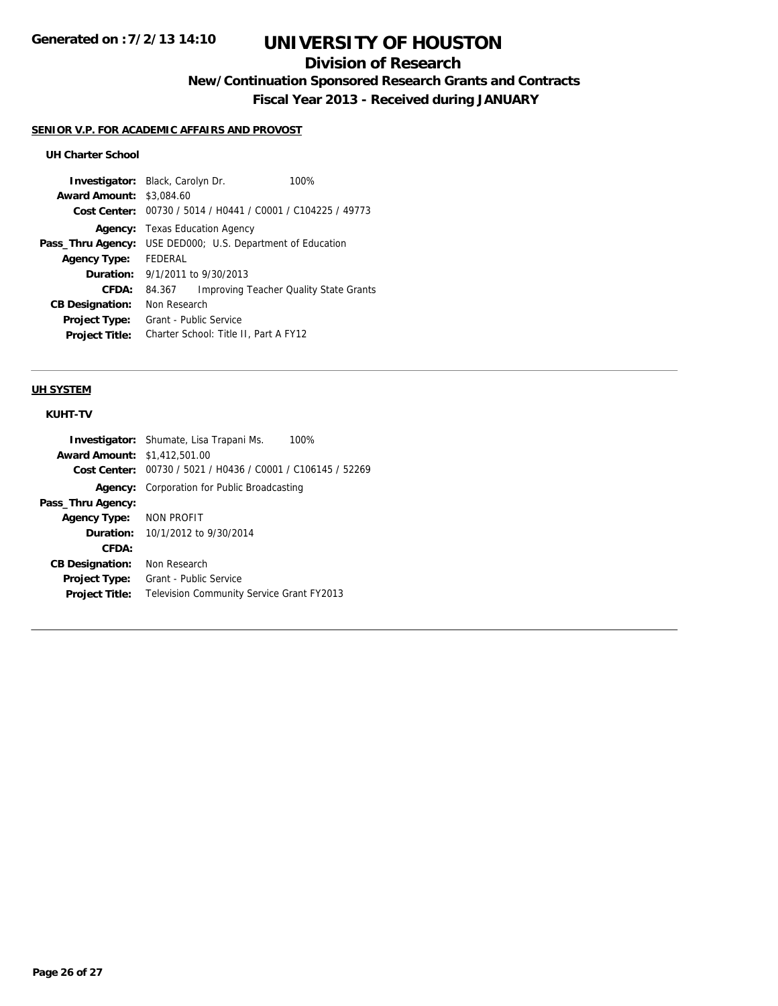# **Division of Research**

**New/Continuation Sponsored Research Grants and Contracts**

**Fiscal Year 2013 - Received during JANUARY**

### **SENIOR V.P. FOR ACADEMIC AFFAIRS AND PROVOST**

## **UH Charter School**

| <b>Investigator:</b> Black, Carolyn Dr.        | 100%                                          |
|------------------------------------------------|-----------------------------------------------|
| <b>Award Amount:</b><br>\$3,084.60             |                                               |
| 00730 / 5014 / H0441 / C0001 / C104225 / 49773 |                                               |
| <b>Texas Education Agency</b>                  |                                               |
| USE DED000; U.S. Department of Education       |                                               |
| FFDFRAI                                        |                                               |
| 9/1/2011 to 9/30/2013                          |                                               |
| 84.367                                         | <b>Improving Teacher Quality State Grants</b> |
| Non Research                                   |                                               |
| Grant - Public Service                         |                                               |
| Charter School: Title II, Part A FY12          |                                               |
|                                                |                                               |

### **UH SYSTEM**

## **KUHT-TV**

|                                     | <b>Investigator:</b> Shumate, Lisa Trapani Ms.<br>100%      |
|-------------------------------------|-------------------------------------------------------------|
| <b>Award Amount: \$1,412,501.00</b> |                                                             |
|                                     | Cost Center: 00730 / 5021 / H0436 / C0001 / C106145 / 52269 |
|                                     | <b>Agency:</b> Corporation for Public Broadcasting          |
| Pass_Thru Agency:                   |                                                             |
| <b>Agency Type:</b>                 | NON PROFIT                                                  |
|                                     | <b>Duration:</b> $10/1/2012$ to $9/30/2014$                 |
| CFDA:                               |                                                             |
| <b>CB Designation:</b>              | Non Research                                                |
| <b>Project Type:</b>                | Grant - Public Service                                      |
| <b>Project Title:</b>               | <b>Television Community Service Grant FY2013</b>            |
|                                     |                                                             |